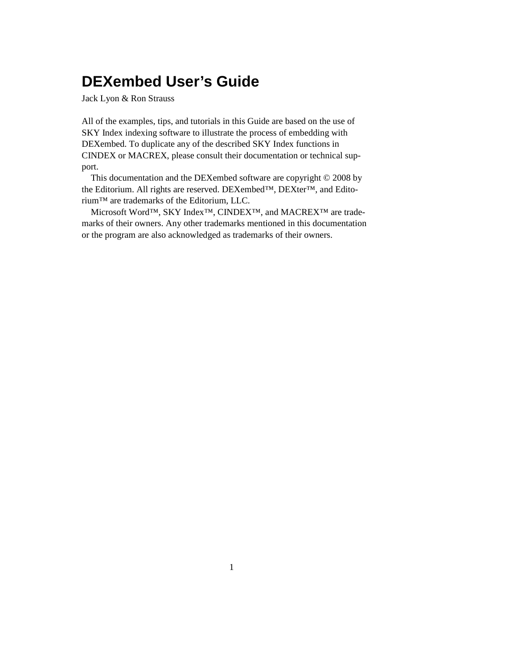# **DEXembed User's Guide**

Jack Lyon & Ron Strauss

All of the examples, tips, and tutorials in this Guide are based on the use of SKY Index indexing software to illustrate the process of embedding with DEXembed. To duplicate any of the described SKY Index functions in CINDEX or MACREX, please consult their documentation or technical support.

This documentation and the DEXembed software are copyright © 2008 by the Editorium. All rights are reserved. DEXembed™, DEXter™, and Editorium™ are trademarks of the Editorium, LLC.

Microsoft Word™, SKY Index™, CINDEX™, and MACREX™ are trademarks of their owners. Any other trademarks mentioned in this documentation or the program are also acknowledged as trademarks of their owners.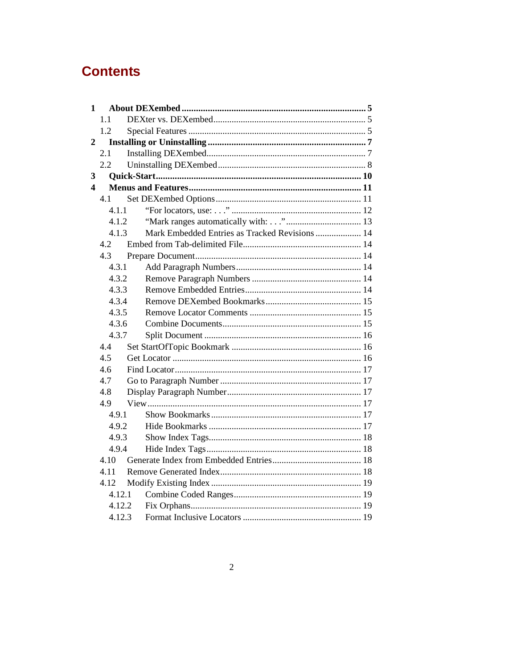# **Contents**

|                | $1 \quad$ |                                                |  |  |
|----------------|-----------|------------------------------------------------|--|--|
|                | 1.1       |                                                |  |  |
|                | 1.2       |                                                |  |  |
| $\overline{2}$ |           |                                                |  |  |
|                | 2.1       |                                                |  |  |
|                | 2.2       |                                                |  |  |
| 3              |           |                                                |  |  |
| 4              |           |                                                |  |  |
|                | 4.1       |                                                |  |  |
|                | 4.1.1     |                                                |  |  |
| 4.1.2          |           |                                                |  |  |
|                | 4.1.3     | Mark Embedded Entries as Tracked Revisions  14 |  |  |
|                | 4.2       |                                                |  |  |
|                | 4.3       |                                                |  |  |
|                | 4.3.1     |                                                |  |  |
|                | 4.3.2     |                                                |  |  |
|                | 4.3.3     |                                                |  |  |
|                | 4.3.4     |                                                |  |  |
|                | 4.3.5     |                                                |  |  |
|                | 4.3.6     |                                                |  |  |
|                | 4.3.7     |                                                |  |  |
|                | 4.4       |                                                |  |  |
|                | 4.5       |                                                |  |  |
|                | 4.6       |                                                |  |  |
|                | 4.7       |                                                |  |  |
|                | 4.8       |                                                |  |  |
|                | 4.9       |                                                |  |  |
|                | 4.9.1     |                                                |  |  |
|                | 4.9.2     |                                                |  |  |
|                | 4.9.3     |                                                |  |  |
|                | 4.9.4     |                                                |  |  |
|                | 4.10      |                                                |  |  |
|                | 4.11      |                                                |  |  |
|                | 4.12      |                                                |  |  |
|                | 4.12.1    |                                                |  |  |
|                | 4.12.2    |                                                |  |  |
|                | 4.12.3    |                                                |  |  |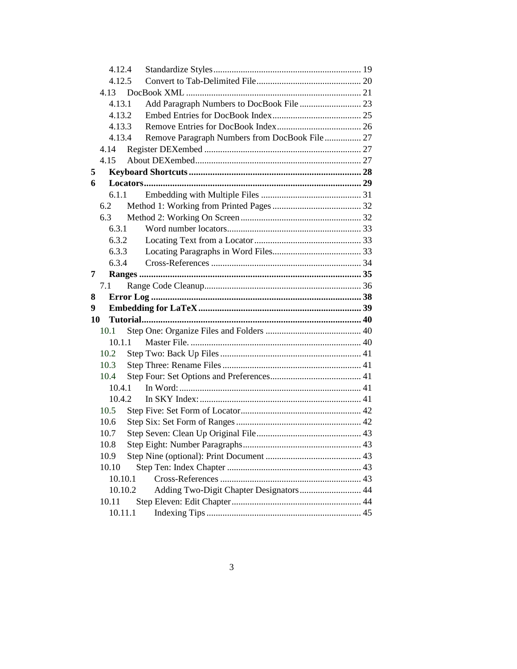|    | 4.12.4           |                                                |  |  |
|----|------------------|------------------------------------------------|--|--|
|    | 4.12.5           |                                                |  |  |
|    | 4.13             |                                                |  |  |
|    | 4.13.1           | Add Paragraph Numbers to DocBook File  23      |  |  |
|    | 4.13.2           |                                                |  |  |
|    | 4.13.3           |                                                |  |  |
|    | 4.13.4           | Remove Paragraph Numbers from DocBook File  27 |  |  |
|    | 4.14             |                                                |  |  |
|    | 4.15             |                                                |  |  |
| 5  |                  |                                                |  |  |
| 6  |                  |                                                |  |  |
|    | 6.1.1            |                                                |  |  |
|    | 6.2              |                                                |  |  |
|    | 6.3              |                                                |  |  |
|    | 6.3.1            |                                                |  |  |
|    | 6.3.2            |                                                |  |  |
|    | 6.3.3            |                                                |  |  |
|    | 6.3.4            |                                                |  |  |
| 7  |                  |                                                |  |  |
|    | 7.1              |                                                |  |  |
|    |                  |                                                |  |  |
| 8  |                  |                                                |  |  |
| 9  |                  |                                                |  |  |
| 10 |                  |                                                |  |  |
|    | 10.1             |                                                |  |  |
|    | 10.1.1           |                                                |  |  |
|    | 10.2             |                                                |  |  |
|    | 10.3             |                                                |  |  |
|    | 10.4             |                                                |  |  |
|    | 10.4.1           |                                                |  |  |
|    | 10.4.2           |                                                |  |  |
|    | 10.5             |                                                |  |  |
|    | 10.6             |                                                |  |  |
|    | 10.7             |                                                |  |  |
|    | 10.8             |                                                |  |  |
|    | 10.9             |                                                |  |  |
|    | 10.10            |                                                |  |  |
|    | 10.10.1          |                                                |  |  |
|    | 10.10.2          | Adding Two-Digit Chapter Designators 44        |  |  |
|    | 10.11<br>10.11.1 |                                                |  |  |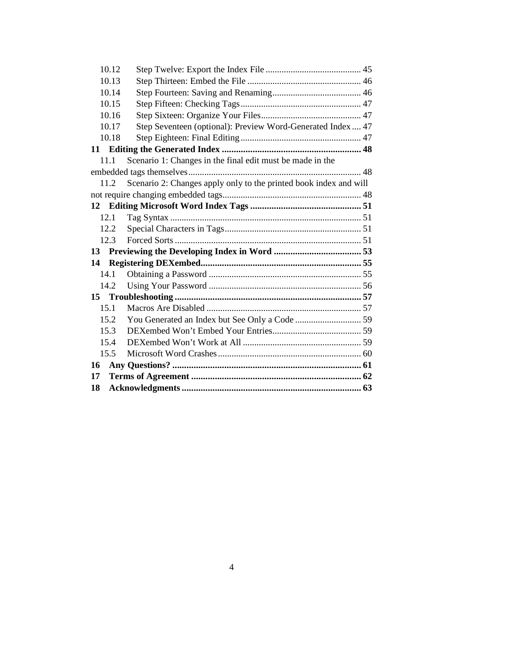|                 | 10.12 |                                                                   |  |
|-----------------|-------|-------------------------------------------------------------------|--|
|                 | 10.13 |                                                                   |  |
|                 | 10.14 |                                                                   |  |
|                 | 10.15 |                                                                   |  |
|                 | 10.16 |                                                                   |  |
|                 | 10.17 | Step Seventeen (optional): Preview Word-Generated Index 47        |  |
|                 | 10.18 |                                                                   |  |
|                 |       |                                                                   |  |
|                 | 11.1  | Scenario 1: Changes in the final edit must be made in the         |  |
|                 |       |                                                                   |  |
|                 | 11.2  | Scenario 2: Changes apply only to the printed book index and will |  |
|                 |       |                                                                   |  |
| 12              |       |                                                                   |  |
|                 | 12.1  |                                                                   |  |
|                 | 12.2  |                                                                   |  |
|                 | 12.3  |                                                                   |  |
| 13 <sup>7</sup> |       |                                                                   |  |
| 14              |       |                                                                   |  |
|                 | 14.1  |                                                                   |  |
|                 | 14.2  |                                                                   |  |
|                 |       |                                                                   |  |
|                 | 15.1  |                                                                   |  |
|                 | 15.2  |                                                                   |  |
|                 | 15.3  |                                                                   |  |
|                 | 15.4  |                                                                   |  |
|                 | 15.5  |                                                                   |  |
| 16              |       |                                                                   |  |
| 17              |       |                                                                   |  |
| 18              |       |                                                                   |  |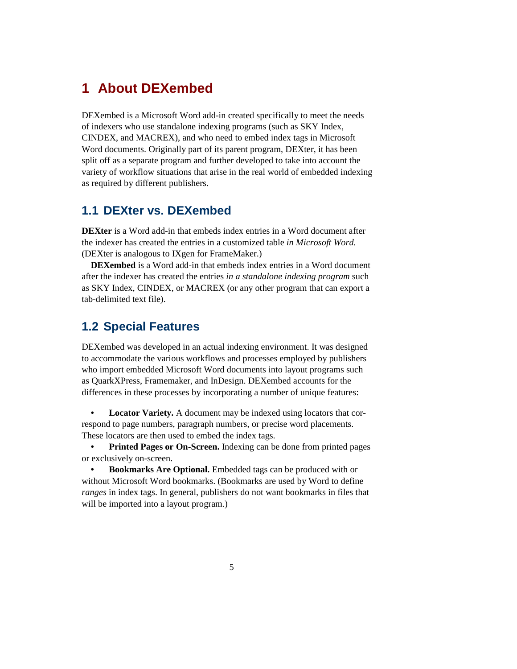## **1 About DEXembed**

DEXembed is a Microsoft Word add-in created specifically to meet the needs of indexers who use standalone indexing programs (such as SKY Index, CINDEX, and MACREX), and who need to embed index tags in Microsoft Word documents. Originally part of its parent program, DEXter, it has been split off as a separate program and further developed to take into account the variety of workflow situations that arise in the real world of embedded indexing as required by different publishers.

## **1.1 DEXter vs. DEXembed**

**DEXter** is a Word add-in that embeds index entries in a Word document after the indexer has created the entries in a customized table *in Microsoft Word.* (DEXter is analogous to IXgen for FrameMaker.)

**DEXembed** is a Word add-in that embeds index entries in a Word document after the indexer has created the entries *in a standalone indexing program* such as SKY Index, CINDEX, or MACREX (or any other program that can export a tab-delimited text file).

### **1.2 Special Features**

DEXembed was developed in an actual indexing environment. It was designed to accommodate the various workflows and processes employed by publishers who import embedded Microsoft Word documents into layout programs such as QuarkXPress, Framemaker, and InDesign. DEXembed accounts for the differences in these processes by incorporating a number of unique features:

**• Locator Variety.** A document may be indexed using locators that correspond to page numbers, paragraph numbers, or precise word placements. These locators are then used to embed the index tags.

**• Printed Pages or On-Screen.** Indexing can be done from printed pages or exclusively on-screen.

**• Bookmarks Are Optional.** Embedded tags can be produced with or without Microsoft Word bookmarks. (Bookmarks are used by Word to define *ranges* in index tags. In general, publishers do not want bookmarks in files that will be imported into a layout program.)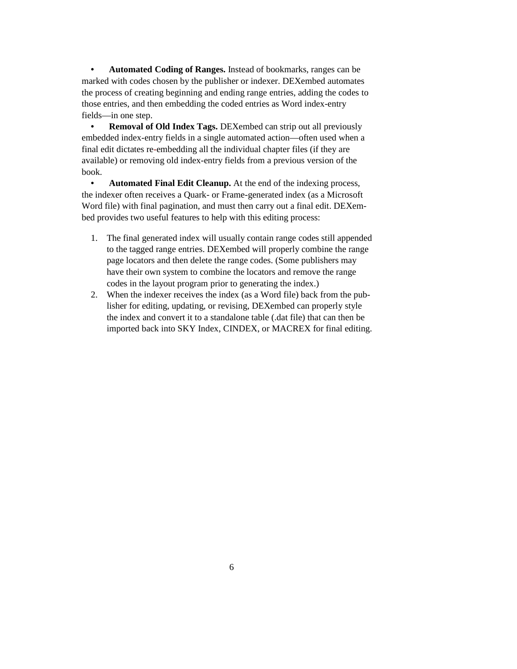**• Automated Coding of Ranges.** Instead of bookmarks, ranges can be marked with codes chosen by the publisher or indexer. DEXembed automates the process of creating beginning and ending range entries, adding the codes to those entries, and then embedding the coded entries as Word index-entry fields—in one step.

**• Removal of Old Index Tags.** DEXembed can strip out all previously embedded index-entry fields in a single automated action—often used when a final edit dictates re-embedding all the individual chapter files (if they are available) or removing old index-entry fields from a previous version of the book.

**• Automated Final Edit Cleanup.** At the end of the indexing process, the indexer often receives a Quark- or Frame-generated index (as a Microsoft Word file) with final pagination, and must then carry out a final edit. DEXembed provides two useful features to help with this editing process:

- 1. The final generated index will usually contain range codes still appended to the tagged range entries. DEXembed will properly combine the range page locators and then delete the range codes. (Some publishers may have their own system to combine the locators and remove the range codes in the layout program prior to generating the index.)
- 2. When the indexer receives the index (as a Word file) back from the publisher for editing, updating, or revising, DEXembed can properly style the index and convert it to a standalone table (.dat file) that can then be imported back into SKY Index, CINDEX, or MACREX for final editing.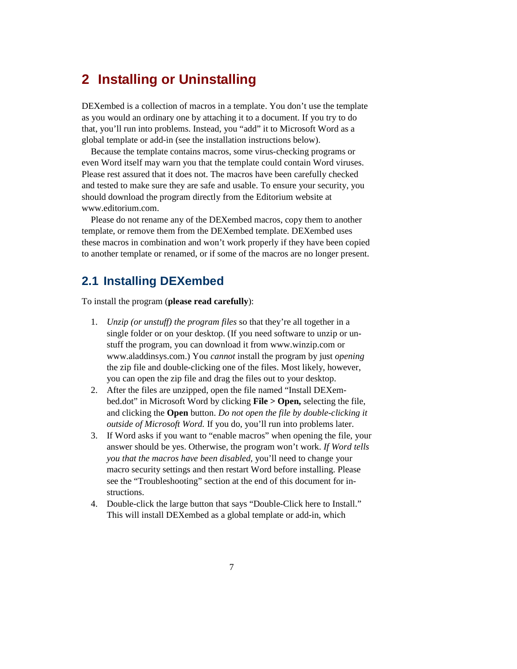## **2 Installing or Uninstalling**

DEXembed is a collection of macros in a template. You don't use the template as you would an ordinary one by attaching it to a document. If you try to do that, you'll run into problems. Instead, you "add" it to Microsoft Word as a global template or add-in (see the installation instructions below).

Because the template contains macros, some virus-checking programs or even Word itself may warn you that the template could contain Word viruses. Please rest assured that it does not. The macros have been carefully checked and tested to make sure they are safe and usable. To ensure your security, you should download the program directly from the Editorium website at www.editorium.com.

Please do not rename any of the DEXembed macros, copy them to another template, or remove them from the DEXembed template. DEXembed uses these macros in combination and won't work properly if they have been copied to another template or renamed, or if some of the macros are no longer present.

### **2.1 Installing DEXembed**

To install the program (**please read carefully**):

- 1. *Unzip (or unstuff) the program files* so that they're all together in a single folder or on your desktop. (If you need software to unzip or unstuff the program, you can download it from www.winzip.com or www.aladdinsys.com.) You *cannot* install the program by just *opening* the zip file and double-clicking one of the files. Most likely, however, you can open the zip file and drag the files out to your desktop.
- 2. After the files are unzipped, open the file named "Install DEXembed.dot" in Microsoft Word by clicking **File > Open,** selecting the file, and clicking the **Open** button. *Do not open the file by double-clicking it outside of Microsoft Word.* If you do, you'll run into problems later.
- 3. If Word asks if you want to "enable macros" when opening the file, your answer should be yes. Otherwise, the program won't work. *If Word tells you that the macros have been disabled,* you'll need to change your macro security settings and then restart Word before installing. Please see the "Troubleshooting" section at the end of this document for instructions.
- 4. Double-click the large button that says "Double-Click here to Install." This will install DEXembed as a global template or add-in, which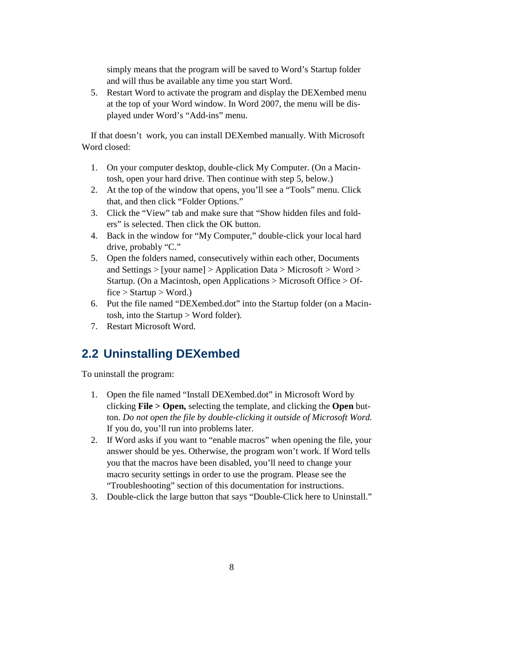simply means that the program will be saved to Word's Startup folder and will thus be available any time you start Word.

5. Restart Word to activate the program and display the DEXembed menu at the top of your Word window. In Word 2007, the menu will be displayed under Word's "Add-ins" menu.

If that doesn't work, you can install DEXembed manually. With Microsoft Word closed:

- 1. On your computer desktop, double-click My Computer. (On a Macintosh, open your hard drive. Then continue with step 5, below.)
- 2. At the top of the window that opens, you'll see a "Tools" menu. Click that, and then click "Folder Options."
- 3. Click the "View" tab and make sure that "Show hidden files and folders" is selected. Then click the OK button.
- 4. Back in the window for "My Computer," double-click your local hard drive, probably "C."
- 5. Open the folders named, consecutively within each other, Documents and Settings > [your name] > Application Data > Microsoft > Word > Startup. (On a Macintosh, open Applications > Microsoft Office > Of $fice > Startup > Word.$ )
- 6. Put the file named "DEXembed.dot" into the Startup folder (on a Macintosh, into the Startup > Word folder).
- 7. Restart Microsoft Word.

## **2.2 Uninstalling DEXembed**

To uninstall the program:

- 1. Open the file named "Install DEXembed.dot" in Microsoft Word by clicking **File > Open,** selecting the template, and clicking the **Open** button. *Do not open the file by double-clicking it outside of Microsoft Word.*  If you do, you'll run into problems later.
- 2. If Word asks if you want to "enable macros" when opening the file, your answer should be yes. Otherwise, the program won't work. If Word tells you that the macros have been disabled, you'll need to change your macro security settings in order to use the program. Please see the "Troubleshooting" section of this documentation for instructions.
- 3. Double-click the large button that says "Double-Click here to Uninstall."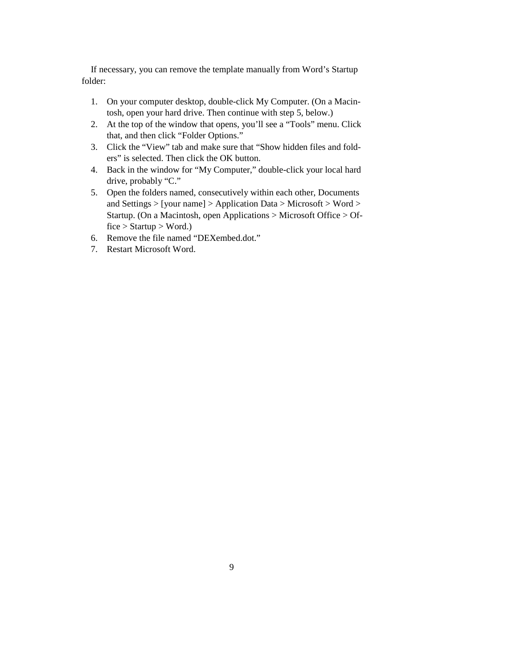If necessary, you can remove the template manually from Word's Startup folder:

- 1. On your computer desktop, double-click My Computer. (On a Macintosh, open your hard drive. Then continue with step 5, below.)
- 2. At the top of the window that opens, you'll see a "Tools" menu. Click that, and then click "Folder Options."
- 3. Click the "View" tab and make sure that "Show hidden files and folders" is selected. Then click the OK button.
- 4. Back in the window for "My Computer," double-click your local hard drive, probably "C."
- 5. Open the folders named, consecutively within each other, Documents and Settings > [your name] > Application Data > Microsoft > Word > Startup. (On a Macintosh, open Applications > Microsoft Office > Of $fice > Startup > Word.$ )
- 6. Remove the file named "DEXembed.dot."
- 7. Restart Microsoft Word.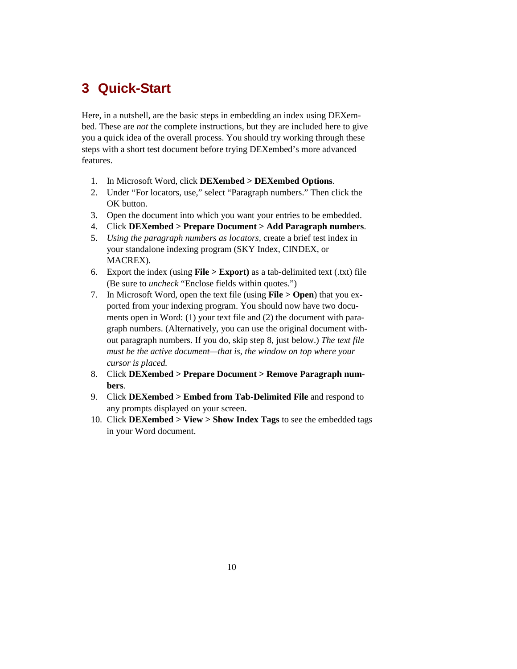## **3 Quick-Start**

Here, in a nutshell, are the basic steps in embedding an index using DEXembed. These are *not* the complete instructions, but they are included here to give you a quick idea of the overall process. You should try working through these steps with a short test document before trying DEXembed's more advanced features.

- 1. In Microsoft Word, click **DEXembed > DEXembed Options**.
- 2. Under "For locators, use," select "Paragraph numbers." Then click the OK button.
- 3. Open the document into which you want your entries to be embedded.
- 4. Click **DEXembed > Prepare Document > Add Paragraph numbers**.
- 5. *Using the paragraph numbers as locators,* create a brief test index in your standalone indexing program (SKY Index, CINDEX, or MACREX).
- 6. Export the index (using **File > Export)** as a tab-delimited text (.txt) file (Be sure to *uncheck* "Enclose fields within quotes.")
- 7. In Microsoft Word, open the text file (using **File > Open**) that you exported from your indexing program. You should now have two documents open in Word: (1) your text file and (2) the document with paragraph numbers. (Alternatively, you can use the original document without paragraph numbers. If you do, skip step 8, just below.) *The text file must be the active document—that is, the window on top where your cursor is placed.*
- 8. Click **DEXembed > Prepare Document > Remove Paragraph numbers**.
- 9. Click **DEXembed > Embed from Tab-Delimited File** and respond to any prompts displayed on your screen.
- 10. Click **DEXembed > View > Show Index Tags** to see the embedded tags in your Word document.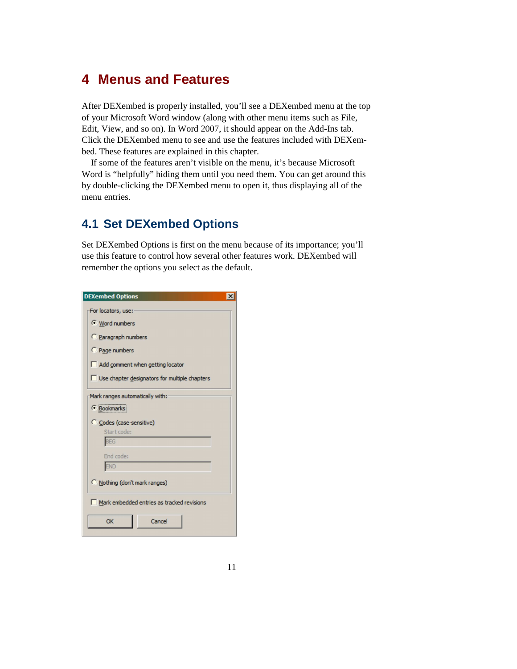## **4 Menus and Features**

After DEXembed is properly installed, you'll see a DEXembed menu at the top of your Microsoft Word window (along with other menu items such as File, Edit, View, and so on). In Word 2007, it should appear on the Add-Ins tab. Click the DEXembed menu to see and use the features included with DEXembed. These features are explained in this chapter.

If some of the features aren't visible on the menu, it's because Microsoft Word is "helpfully" hiding them until you need them. You can get around this by double-clicking the DEXembed menu to open it, thus displaying all of the menu entries.

## **4.1 Set DEXembed Options**

Set DEXembed Options is first on the menu because of its importance; you'll use this feature to control how several other features work. DEXembed will remember the options you select as the default.

| <b>DEXembed Options</b><br>$\mathbf{x}$       |  |  |  |  |
|-----------------------------------------------|--|--|--|--|
| For locators, use:                            |  |  |  |  |
| Word numbers                                  |  |  |  |  |
| Paragraph numbers                             |  |  |  |  |
| C Page numbers                                |  |  |  |  |
| Add comment when getting locator              |  |  |  |  |
| Use chapter designators for multiple chapters |  |  |  |  |
| Mark ranges automatically with:               |  |  |  |  |
| <b><i>C</i></b> Bookmarks                     |  |  |  |  |
| C Codes (case-sensitive)                      |  |  |  |  |
| Start code:<br><b>BEG</b>                     |  |  |  |  |
| End code:                                     |  |  |  |  |
| <b>END</b>                                    |  |  |  |  |
| Nothing (don't mark ranges)                   |  |  |  |  |
| Mark embedded entries as tracked revisions    |  |  |  |  |
| OK<br>Cancel                                  |  |  |  |  |

a l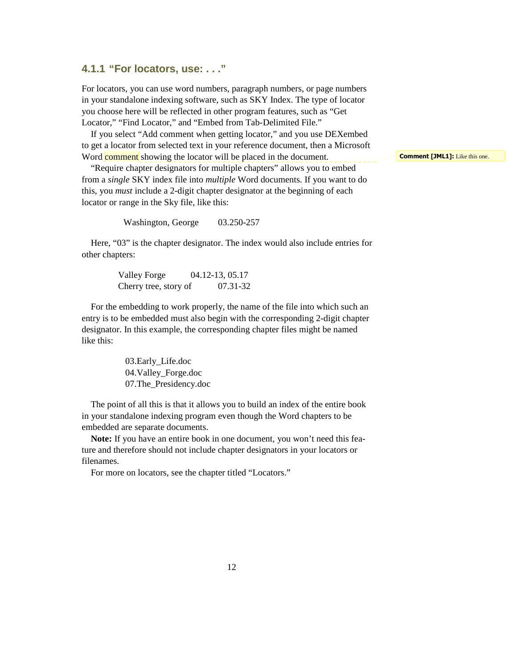#### **4.1.1 "For locators, use: . . ."**

For locators, you can use word numbers, paragraph numbers, or page numbers in your standalone indexing software, such as SKY Index. The type of locator you choose here will be reflected in other program features, such as "Get Locator," "Find Locator," and "Embed from Tab-Delimited File."

If you select "Add comment when getting locator," and you use DEXembed to get a locator from selected text in your reference document, then a Microsoft Word **comment** showing the locator will be placed in the document.

"Require chapter designators for multiple chapters" allows you to embed from a *single* SKY index file into *multiple* Word documents. If you want to do this, you *must* include a 2-digit chapter designator at the beginning of each locator or range in the Sky file, like this:

Washington, George 03.250-257

Here, "03" is the chapter designator. The index would also include entries for other chapters:

> Valley Forge 04.12-13, 05.17 Cherry tree, story of 07.31-32

For the embedding to work properly, the name of the file into which such an entry is to be embedded must also begin with the corresponding 2-digit chapter designator. In this example, the corresponding chapter files might be named like this:

> 03.Early\_Life.doc 04.Valley\_Forge.doc 07.The\_Presidency.doc

The point of all this is that it allows you to build an index of the entire book in your standalone indexing program even though the Word chapters to be embedded are separate documents.

**Note:** If you have an entire book in one document, you won't need this feature and therefore should not include chapter designators in your locators or filenames.

For more on locators, see the chapter titled "Locators."

**Comment [JML1]:** Like this one.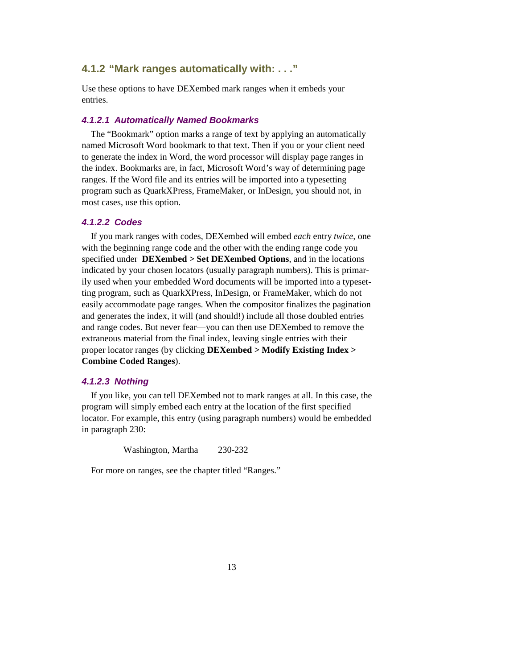### **4.1.2 "Mark ranges automatically with: . . ."**

Use these options to have DEXembed mark ranges when it embeds your entries.

#### **4.1.2.1 Automatically Named Bookmarks**

The "Bookmark" option marks a range of text by applying an automatically named Microsoft Word bookmark to that text. Then if you or your client need to generate the index in Word, the word processor will display page ranges in the index. Bookmarks are, in fact, Microsoft Word's way of determining page ranges. If the Word file and its entries will be imported into a typesetting program such as QuarkXPress, FrameMaker, or InDesign, you should not, in most cases, use this option.

#### **4.1.2.2 Codes**

If you mark ranges with codes, DEXembed will embed *each* entry *twice,* one with the beginning range code and the other with the ending range code you specified under **DEXembed > Set DEXembed Options**, and in the locations indicated by your chosen locators (usually paragraph numbers). This is primarily used when your embedded Word documents will be imported into a typesetting program, such as QuarkXPress, InDesign, or FrameMaker, which do not easily accommodate page ranges. When the compositor finalizes the pagination and generates the index, it will (and should!) include all those doubled entries and range codes. But never fear—you can then use DEXembed to remove the extraneous material from the final index, leaving single entries with their proper locator ranges (by clicking **DEXembed > Modify Existing Index > Combine Coded Ranges**).

#### **4.1.2.3 Nothing**

If you like, you can tell DEXembed not to mark ranges at all. In this case, the program will simply embed each entry at the location of the first specified locator. For example, this entry (using paragraph numbers) would be embedded in paragraph 230:

Washington, Martha 230-232

For more on ranges, see the chapter titled "Ranges."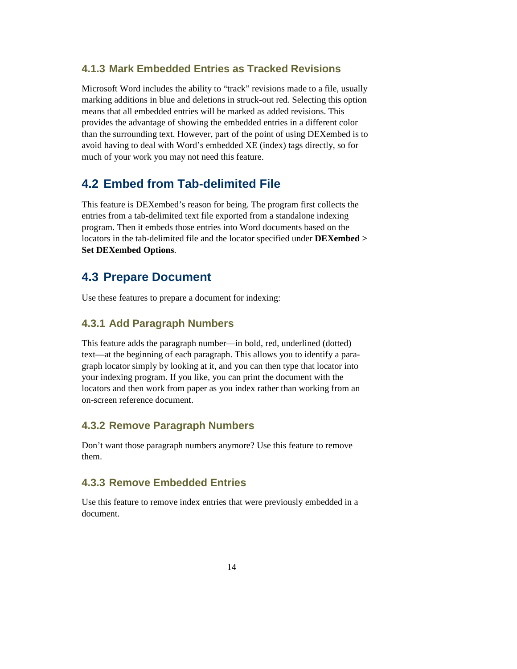### **4.1.3 Mark Embedded Entries as Tracked Revisions**

Microsoft Word includes the ability to "track" revisions made to a file, usually marking additions in blue and deletions in struck-out red. Selecting this option means that all embedded entries will be marked as added revisions. This provides the advantage of showing the embedded entries in a different color than the surrounding text. However, part of the point of using DEXembed is to avoid having to deal with Word's embedded XE (index) tags directly, so for much of your work you may not need this feature.

### **4.2 Embed from Tab-delimited File**

This feature is DEXembed's reason for being. The program first collects the entries from a tab-delimited text file exported from a standalone indexing program. Then it embeds those entries into Word documents based on the locators in the tab-delimited file and the locator specified under **DEXembed > Set DEXembed Options**.

### **4.3 Prepare Document**

Use these features to prepare a document for indexing:

#### **4.3.1 Add Paragraph Numbers**

This feature adds the paragraph number—in bold, red, underlined (dotted) text—at the beginning of each paragraph. This allows you to identify a paragraph locator simply by looking at it, and you can then type that locator into your indexing program. If you like, you can print the document with the locators and then work from paper as you index rather than working from an on-screen reference document.

#### **4.3.2 Remove Paragraph Numbers**

Don't want those paragraph numbers anymore? Use this feature to remove them.

### **4.3.3 Remove Embedded Entries**

Use this feature to remove index entries that were previously embedded in a document.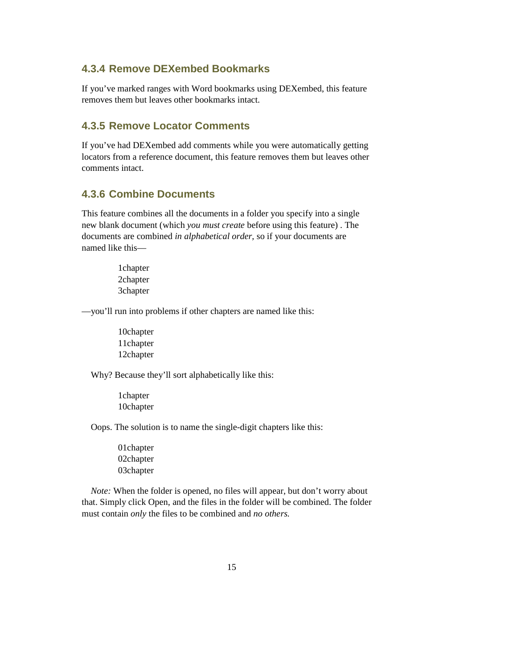### **4.3.4 Remove DEXembed Bookmarks**

If you've marked ranges with Word bookmarks using DEXembed, this feature removes them but leaves other bookmarks intact.

### **4.3.5 Remove Locator Comments**

If you've had DEXembed add comments while you were automatically getting locators from a reference document, this feature removes them but leaves other comments intact.

### **4.3.6 Combine Documents**

This feature combines all the documents in a folder you specify into a single new blank document (which *you must create* before using this feature) . The documents are combined *in alphabetical order,* so if your documents are named like this—

> 1chapter 2chapter 3chapter

—you'll run into problems if other chapters are named like this:

10chapter 11chapter 12chapter

Why? Because they'll sort alphabetically like this:

1chapter 10chapter

Oops. The solution is to name the single-digit chapters like this:

01chapter 02chapter 03chapter

*Note:* When the folder is opened, no files will appear, but don't worry about that. Simply click Open, and the files in the folder will be combined. The folder must contain *only* the files to be combined and *no others.*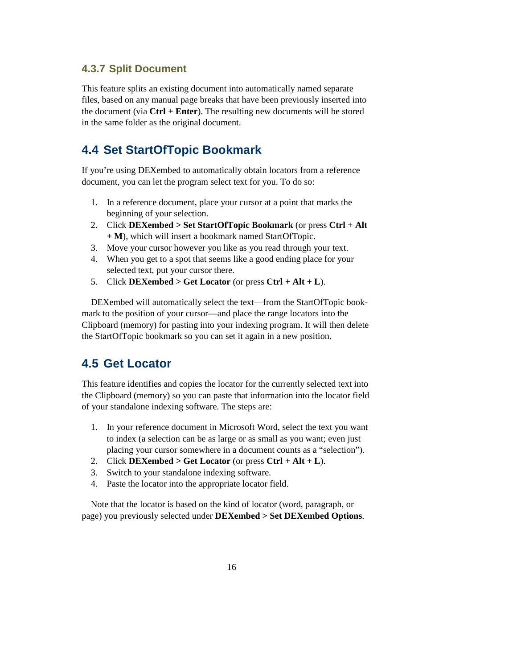### **4.3.7 Split Document**

This feature splits an existing document into automatically named separate files, based on any manual page breaks that have been previously inserted into the document (via **Ctrl + Enter**). The resulting new documents will be stored in the same folder as the original document.

### **4.4 Set StartOfTopic Bookmark**

If you're using DEXembed to automatically obtain locators from a reference document, you can let the program select text for you. To do so:

- 1. In a reference document, place your cursor at a point that marks the beginning of your selection.
- 2. Click **DEXembed > Set StartOfTopic Bookmark** (or press **Ctrl + Alt + M**), which will insert a bookmark named StartOfTopic.
- 3. Move your cursor however you like as you read through your text.
- 4. When you get to a spot that seems like a good ending place for your selected text, put your cursor there.
- 5. Click **DEXembed > Get Locator** (or press **Ctrl + Alt + L**).

DEXembed will automatically select the text—from the StartOfTopic bookmark to the position of your cursor—and place the range locators into the Clipboard (memory) for pasting into your indexing program. It will then delete the StartOfTopic bookmark so you can set it again in a new position.

## **4.5 Get Locator**

This feature identifies and copies the locator for the currently selected text into the Clipboard (memory) so you can paste that information into the locator field of your standalone indexing software. The steps are:

- 1. In your reference document in Microsoft Word, select the text you want to index (a selection can be as large or as small as you want; even just placing your cursor somewhere in a document counts as a "selection").
- 2. Click **DEXembed > Get Locator** (or press **Ctrl + Alt + L**).
- 3. Switch to your standalone indexing software.
- 4. Paste the locator into the appropriate locator field.

Note that the locator is based on the kind of locator (word, paragraph, or page) you previously selected under **DEXembed > Set DEXembed Options**.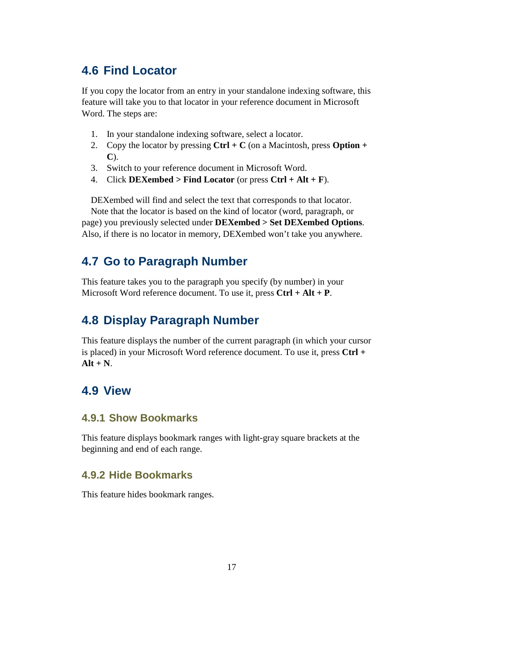## **4.6 Find Locator**

If you copy the locator from an entry in your standalone indexing software, this feature will take you to that locator in your reference document in Microsoft Word. The steps are:

- 1. In your standalone indexing software, select a locator.
- 2. Copy the locator by pressing **Ctrl + C** (on a Macintosh, press **Option + C**).
- 3. Switch to your reference document in Microsoft Word.
- 4. Click **DEXembed > Find Locator** (or press **Ctrl + Alt + F**).

DEXembed will find and select the text that corresponds to that locator. Note that the locator is based on the kind of locator (word, paragraph, or page) you previously selected under **DEXembed > Set DEXembed Options**. Also, if there is no locator in memory, DEXembed won't take you anywhere.

## **4.7 Go to Paragraph Number**

This feature takes you to the paragraph you specify (by number) in your Microsoft Word reference document. To use it, press **Ctrl + Alt + P**.

## **4.8 Display Paragraph Number**

This feature displays the number of the current paragraph (in which your cursor is placed) in your Microsoft Word reference document. To use it, press **Ctrl + Alt + N**.

### **4.9 View**

### **4.9.1 Show Bookmarks**

This feature displays bookmark ranges with light-gray square brackets at the beginning and end of each range.

### **4.9.2 Hide Bookmarks**

This feature hides bookmark ranges.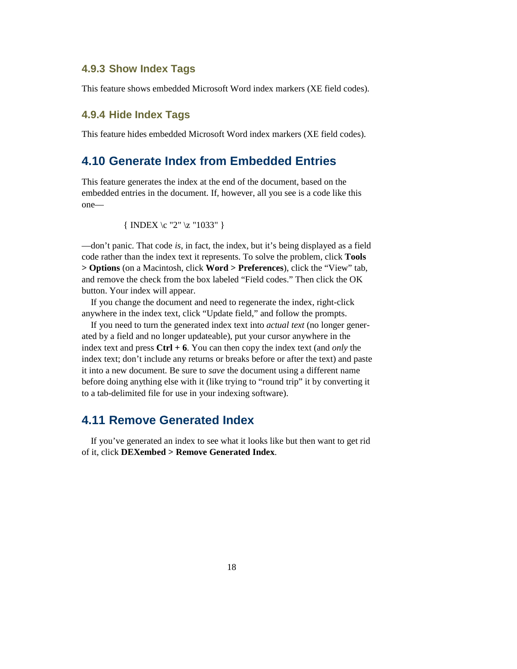#### **4.9.3 Show Index Tags**

This feature shows embedded Microsoft Word index markers (XE field codes).

### **4.9.4 Hide Index Tags**

This feature hides embedded Microsoft Word index markers (XE field codes).

### **4.10 Generate Index from Embedded Entries**

This feature generates the index at the end of the document, based on the embedded entries in the document. If, however, all you see is a code like this one—

{ INDEX 
$$
\c
$$
 "2"  $\z$  "1033" }

—don't panic. That code *is,* in fact, the index, but it's being displayed as a field code rather than the index text it represents. To solve the problem, click **Tools > Options** (on a Macintosh, click **Word > Preferences**), click the "View" tab, and remove the check from the box labeled "Field codes." Then click the OK button. Your index will appear.

If you change the document and need to regenerate the index, right-click anywhere in the index text, click "Update field," and follow the prompts.

If you need to turn the generated index text into *actual text* (no longer generated by a field and no longer updateable), put your cursor anywhere in the index text and press **Ctrl + 6**. You can then copy the index text (and *only* the index text; don't include any returns or breaks before or after the text) and paste it into a new document. Be sure to *save* the document using a different name before doing anything else with it (like trying to "round trip" it by converting it to a tab-delimited file for use in your indexing software).

### **4.11 Remove Generated Index**

If you've generated an index to see what it looks like but then want to get rid of it, click **DEXembed > Remove Generated Index**.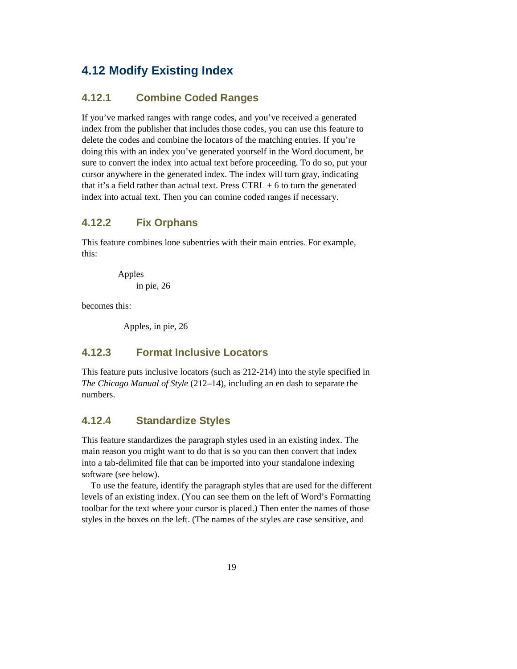## **4.12 Modify Existing Index**

### **4.12.1 Combine Coded Ranges**

If you've marked ranges with range codes, and you've received a generated index from the publisher that includes those codes, you can use this feature to delete the codes and combine the locators of the matching entries. If you're doing this with an index you've generated yourself in the Word document, be sure to convert the index into actual text before proceeding. To do so, put your cursor anywhere in the generated index. The index will turn gray, indicating that it's a field rather than actual text. Press  $CTRL + 6$  to turn the generated index into actual text. Then you can comine coded ranges if necessary.

### **4.12.2 Fix Orphans**

This feature combines lone subentries with their main entries. For example, this:

> Apples in pie, 26

becomes this:

Apples, in pie, 26

### **4.12.3 Format Inclusive Locators**

This feature puts inclusive locators (such as 212-214) into the style specified in *The Chicago Manual of Style* (212–14), including an en dash to separate the numbers.

### **4.12.4 Standardize Styles**

This feature standardizes the paragraph styles used in an existing index. The main reason you might want to do that is so you can then convert that index into a tab-delimited file that can be imported into your standalone indexing software (see below).

To use the feature, identify the paragraph styles that are used for the different levels of an existing index. (You can see them on the left of Word's Formatting toolbar for the text where your cursor is placed.) Then enter the names of those styles in the boxes on the left. (The names of the styles are case sensitive, and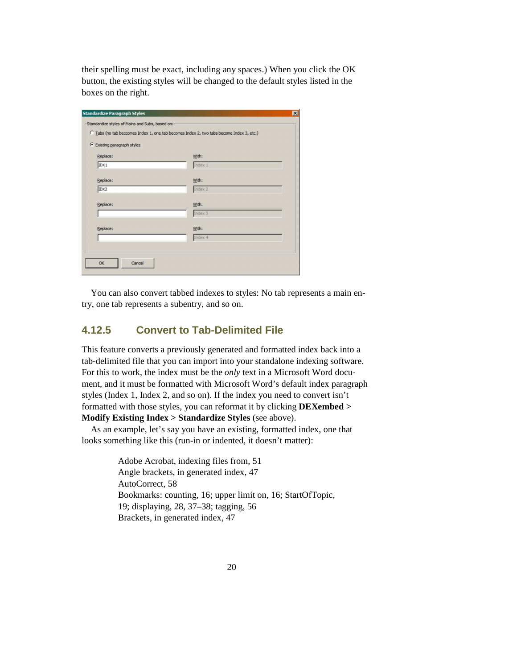their spelling must be exact, including any spaces.) When you click the OK button, the existing styles will be changed to the default styles listed in the boxes on the right.

| Index 1        |
|----------------|
|                |
|                |
|                |
|                |
| Index 2        |
|                |
| Index 3        |
|                |
| Index 4        |
|                |
| With:<br>With: |

You can also convert tabbed indexes to styles: No tab represents a main entry, one tab represents a subentry, and so on.

### **4.12.5 Convert to Tab-Delimited File**

This feature converts a previously generated and formatted index back into a tab-delimited file that you can import into your standalone indexing software. For this to work, the index must be the *only* text in a Microsoft Word document, and it must be formatted with Microsoft Word's default index paragraph styles (Index 1, Index 2, and so on). If the index you need to convert isn't formatted with those styles, you can reformat it by clicking **DEXembed > Modify Existing Index > Standardize Styles** (see above).

As an example, let's say you have an existing, formatted index, one that looks something like this (run-in or indented, it doesn't matter):

> Adobe Acrobat, indexing files from, 51 Angle brackets, in generated index, 47 AutoCorrect, 58 Bookmarks: counting, 16; upper limit on, 16; StartOfTopic, 19; displaying, 28, 37–38; tagging, 56 Brackets, in generated index, 47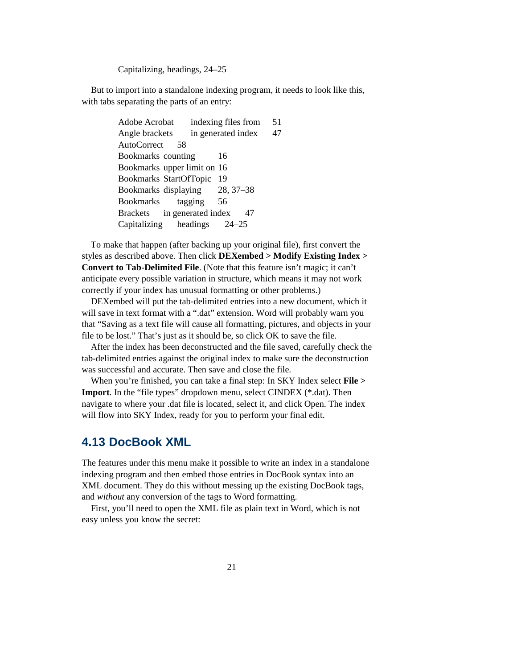Capitalizing, headings, 24–25

But to import into a standalone indexing program, it needs to look like this, with tabs separating the parts of an entry:

> Adobe Acrobat indexing files from 51 Angle brackets in generated index 47 AutoCorrect 58 Bookmarks counting 16 Bookmarks upper limit on 16 Bookmarks StartOfTopic 19 Bookmarks displaying 28, 37–38 Bookmarks tagging 56 Brackets in generated index 47 Capitalizing headings 24–25

To make that happen (after backing up your original file), first convert the styles as described above. Then click **DEXembed > Modify Existing Index > Convert to Tab-Delimited File**. (Note that this feature isn't magic; it can't anticipate every possible variation in structure, which means it may not work correctly if your index has unusual formatting or other problems.)

DEXembed will put the tab-delimited entries into a new document, which it will save in text format with a ".dat" extension. Word will probably warn you that "Saving as a text file will cause all formatting, pictures, and objects in your file to be lost." That's just as it should be, so click OK to save the file.

After the index has been deconstructed and the file saved, carefully check the tab-delimited entries against the original index to make sure the deconstruction was successful and accurate. Then save and close the file.

When you're finished, you can take a final step: In SKY Index select **File > Import**. In the "file types" dropdown menu, select CINDEX (\*.dat). Then navigate to where your .dat file is located, select it, and click Open. The index will flow into SKY Index, ready for you to perform your final edit.

### **4.13 DocBook XML**

The features under this menu make it possible to write an index in a standalone indexing program and then embed those entries in DocBook syntax into an XML document. They do this without messing up the existing DocBook tags, and *without* any conversion of the tags to Word formatting.

First, you'll need to open the XML file as plain text in Word, which is not easy unless you know the secret: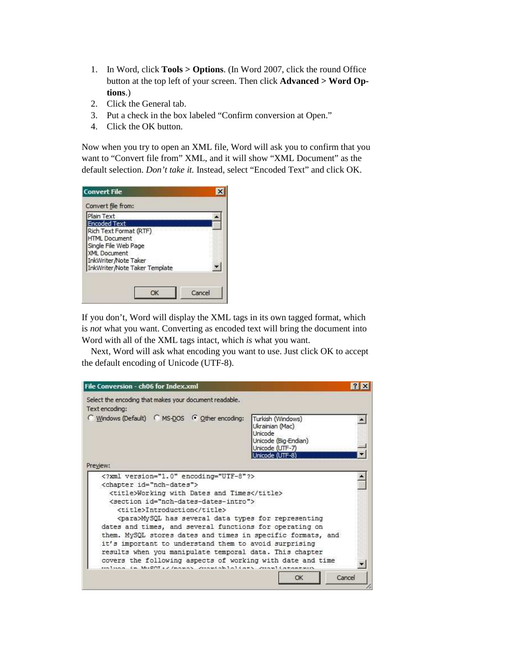- 1. In Word, click **Tools > Options**. (In Word 2007, click the round Office button at the top left of your screen. Then click **Advanced > Word Options**.)
- 2. Click the General tab.
- 3. Put a check in the box labeled "Confirm conversion at Open."
- 4. Click the OK button.

Now when you try to open an XML file, Word will ask you to confirm that you want to "Convert file from" XML, and it will show "XML Document" as the default selection. *Don't take it.* Instead, select "Encoded Text" and click OK.

| Plain Text          |                                             |                                |  |
|---------------------|---------------------------------------------|--------------------------------|--|
| <b>Encoded Text</b> |                                             |                                |  |
|                     | Rich Text Format (RTF)                      |                                |  |
|                     | <b>HTML Document</b>                        |                                |  |
|                     | Single File Web Page<br><b>XML</b> Document |                                |  |
|                     | InkWriter/Note Taker                        |                                |  |
|                     |                                             | InkWriter /Note Taker Template |  |

If you don't, Word will display the XML tags in its own tagged format, which is *not* what you want. Converting as encoded text will bring the document into Word with all of the XML tags intact, which *is* what you want.

Next, Word will ask what encoding you want to use. Just click OK to accept the default encoding of Unicode (UTF-8).

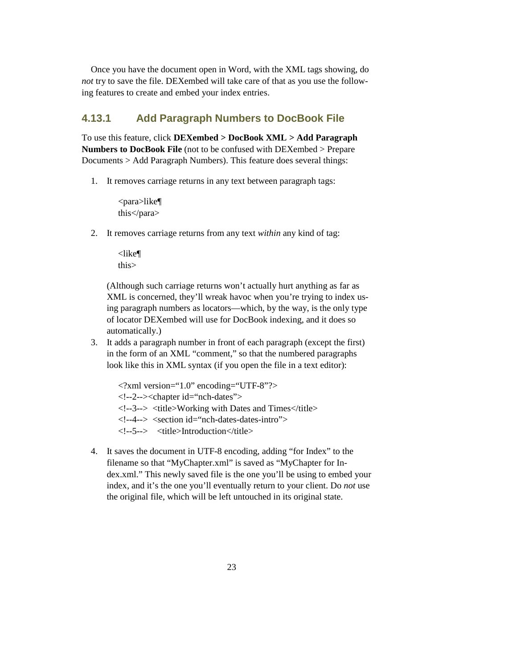Once you have the document open in Word, with the XML tags showing, do *not* try to save the file. DEXembed will take care of that as you use the following features to create and embed your index entries.

### **4.13.1 Add Paragraph Numbers to DocBook File**

To use this feature, click **DEXembed > DocBook XML > Add Paragraph Numbers to DocBook File** (not to be confused with DEXembed > Prepare Documents > Add Paragraph Numbers). This feature does several things:

1. It removes carriage returns in any text between paragraph tags:

<para>like¶ this</para>

2. It removes carriage returns from any text *within* any kind of tag:

<like¶ this>

 (Although such carriage returns won't actually hurt anything as far as XML is concerned, they'll wreak havoc when you're trying to index using paragraph numbers as locators—which, by the way, is the only type of locator DEXembed will use for DocBook indexing, and it does so automatically.)

3. It adds a paragraph number in front of each paragraph (except the first) in the form of an XML "comment," so that the numbered paragraphs look like this in XML syntax (if you open the file in a text editor):

 $\langle$  2xml version="1.0" encoding="UTF-8"?> <!--2--><chapter id="nch-dates"> <!--3--> <title>Working with Dates and Times</title> <!--4--> <section id="nch-dates-dates-intro"> <!--5--> <title>Introduction</title>

4. It saves the document in UTF-8 encoding, adding "for Index" to the filename so that "MyChapter.xml" is saved as "MyChapter for Index.xml." This newly saved file is the one you'll be using to embed your index, and it's the one you'll eventually return to your client. Do *not* use the original file, which will be left untouched in its original state.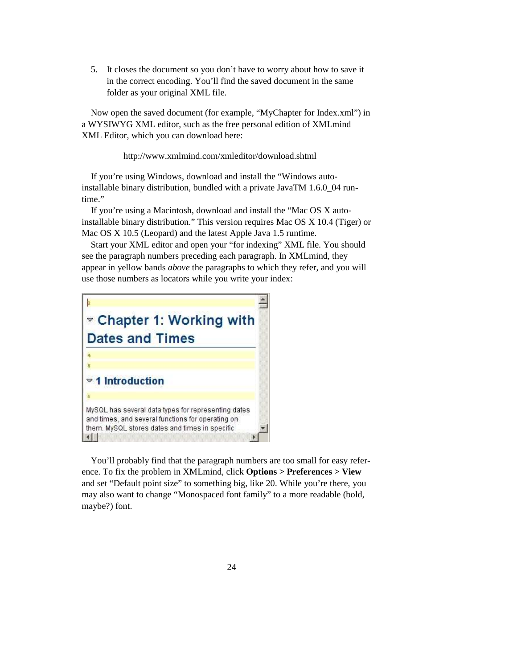5. It closes the document so you don't have to worry about how to save it in the correct encoding. You'll find the saved document in the same folder as your original XML file.

Now open the saved document (for example, "MyChapter for Index.xml") in a WYSIWYG XML editor, such as the free personal edition of XMLmind XML Editor, which you can download here:

http://www.xmlmind.com/xmleditor/download.shtml

If you're using Windows, download and install the "Windows autoinstallable binary distribution, bundled with a private JavaTM 1.6.0\_04 runtime."

If you're using a Macintosh, download and install the "Mac OS X autoinstallable binary distribution." This version requires Mac OS X 10.4 (Tiger) or Mac OS X 10.5 (Leopard) and the latest Apple Java 1.5 runtime.

Start your XML editor and open your "for indexing" XML file. You should see the paragraph numbers preceding each paragraph. In XMLmind, they appear in yellow bands *above* the paragraphs to which they refer, and you will use those numbers as locators while you write your index:



You'll probably find that the paragraph numbers are too small for easy reference. To fix the problem in XMLmind, click **Options > Preferences > View** and set "Default point size" to something big, like 20. While you're there, you may also want to change "Monospaced font family" to a more readable (bold, maybe?) font.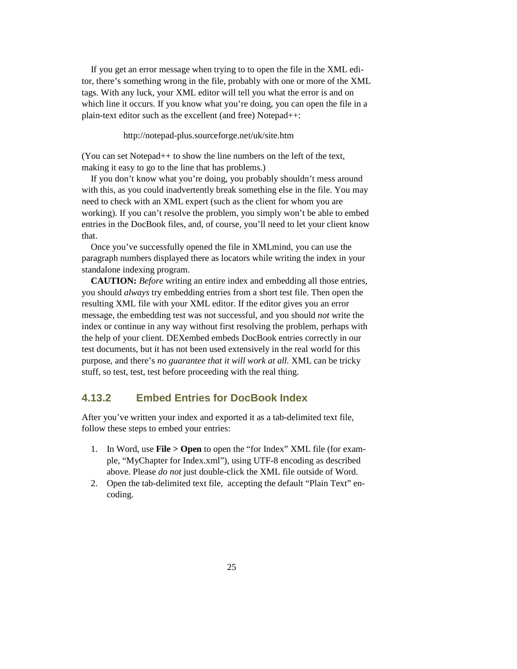If you get an error message when trying to to open the file in the XML editor, there's something wrong in the file, probably with one or more of the XML tags. With any luck, your XML editor will tell you what the error is and on which line it occurs. If you know what you're doing, you can open the file in a plain-text editor such as the excellent (and free) Notepad++:

http://notepad-plus.sourceforge.net/uk/site.htm

(You can set Notepad++ to show the line numbers on the left of the text, making it easy to go to the line that has problems.)

If you don't know what you're doing, you probably shouldn't mess around with this, as you could inadvertently break something else in the file. You may need to check with an XML expert (such as the client for whom you are working). If you can't resolve the problem, you simply won't be able to embed entries in the DocBook files, and, of course, you'll need to let your client know that.

Once you've successfully opened the file in XMLmind, you can use the paragraph numbers displayed there as locators while writing the index in your standalone indexing program.

**CAUTION:** *Before* writing an entire index and embedding all those entries, you should *always* try embedding entries from a short test file. Then open the resulting XML file with your XML editor. If the editor gives you an error message, the embedding test was not successful, and you should *not* write the index or continue in any way without first resolving the problem, perhaps with the help of your client. DEXembed embeds DocBook entries correctly in our test documents, but it has not been used extensively in the real world for this purpose, and there's *no guarantee that it will work at all.* XML can be tricky stuff, so test, test, test before proceeding with the real thing.

### **4.13.2 Embed Entries for DocBook Index**

After you've written your index and exported it as a tab-delimited text file, follow these steps to embed your entries:

- 1. In Word, use **File > Open** to open the "for Index" XML file (for example, "MyChapter for Index.xml"), using UTF-8 encoding as described above. Please *do not* just double-click the XML file outside of Word.
- 2. Open the tab-delimited text file, accepting the default "Plain Text" encoding.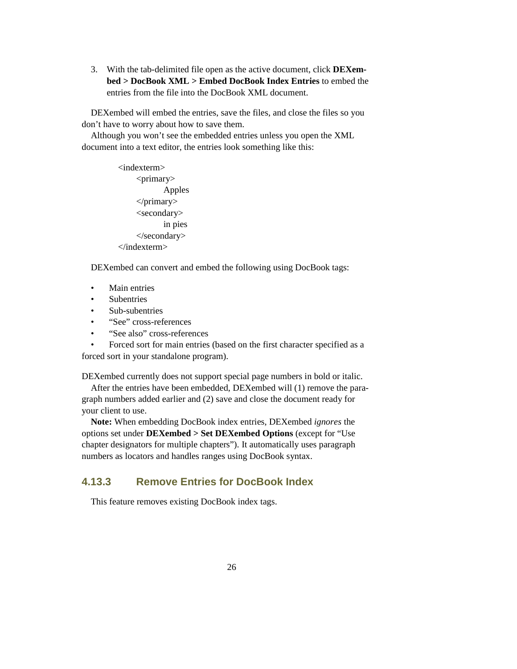3. With the tab-delimited file open as the active document, click **DEXembed > DocBook XML > Embed DocBook Index Entries** to embed the entries from the file into the DocBook XML document.

DEXembed will embed the entries, save the files, and close the files so you don't have to worry about how to save them.

Although you won't see the embedded entries unless you open the XML document into a text editor, the entries look something like this:

> <indexterm> <primary> Apples </primary> <secondary> in pies </secondary> </indexterm>

DEXembed can convert and embed the following using DocBook tags:

- Main entries
- **Subentries**
- Sub-subentries
- "See" cross-references
- "See also" cross-references

• Forced sort for main entries (based on the first character specified as a forced sort in your standalone program).

DEXembed currently does not support special page numbers in bold or italic.

After the entries have been embedded, DEXembed will (1) remove the paragraph numbers added earlier and (2) save and close the document ready for your client to use.

**Note:** When embedding DocBook index entries, DEXembed *ignores* the options set under **DEXembed > Set DEXembed Options** (except for "Use chapter designators for multiple chapters"). It automatically uses paragraph numbers as locators and handles ranges using DocBook syntax.

### **4.13.3 Remove Entries for DocBook Index**

This feature removes existing DocBook index tags.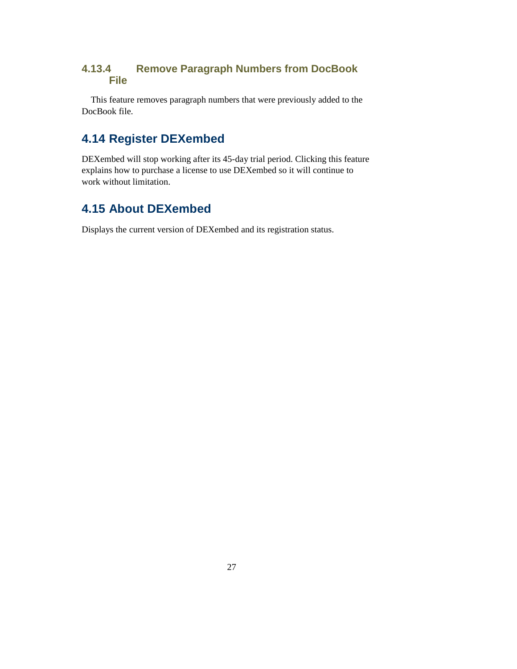### **4.13.4 Remove Paragraph Numbers from DocBook File**

This feature removes paragraph numbers that were previously added to the DocBook file.

## **4.14 Register DEXembed**

DEXembed will stop working after its 45-day trial period. Clicking this feature explains how to purchase a license to use DEXembed so it will continue to work without limitation.

## **4.15 About DEXembed**

Displays the current version of DEXembed and its registration status.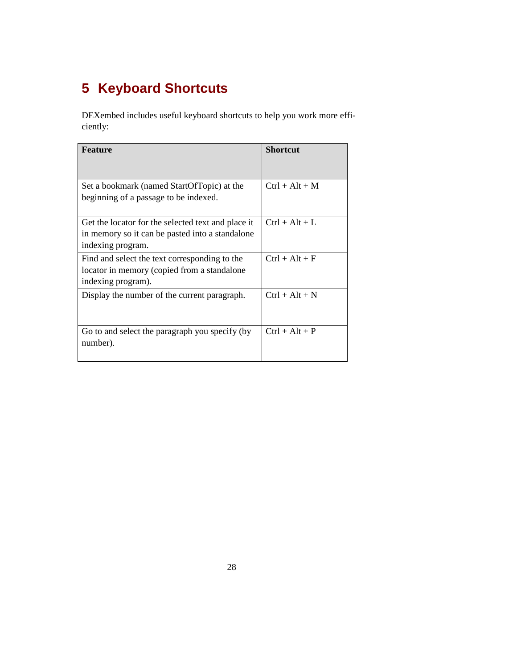# **5 Keyboard Shortcuts**

DEXembed includes useful keyboard shortcuts to help you work more efficiently:

| <b>Feature</b>                                                                                                             | <b>Shortcut</b>  |
|----------------------------------------------------------------------------------------------------------------------------|------------------|
| Set a bookmark (named StartOfTopic) at the<br>beginning of a passage to be indexed.                                        | $Ctrl + Alt + M$ |
| Get the locator for the selected text and place it<br>in memory so it can be pasted into a standalone<br>indexing program. | $Ctrl + Alt + L$ |
| Find and select the text corresponding to the<br>locator in memory (copied from a standalone<br>indexing program).         | $Ctrl + Alt + F$ |
| Display the number of the current paragraph.                                                                               | $Ctrl + Alt + N$ |
| Go to and select the paragraph you specify (by<br>number).                                                                 | $Ctrl + Alt + P$ |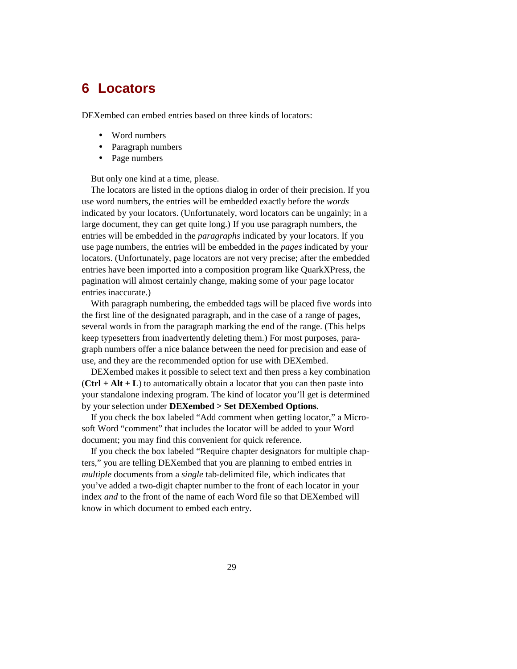## **6 Locators**

DEXembed can embed entries based on three kinds of locators:

- Word numbers
- Paragraph numbers
- Page numbers

But only one kind at a time, please.

The locators are listed in the options dialog in order of their precision. If you use word numbers, the entries will be embedded exactly before the *words*  indicated by your locators. (Unfortunately, word locators can be ungainly; in a large document, they can get quite long.) If you use paragraph numbers, the entries will be embedded in the *paragraphs* indicated by your locators. If you use page numbers, the entries will be embedded in the *pages* indicated by your locators. (Unfortunately, page locators are not very precise; after the embedded entries have been imported into a composition program like QuarkXPress, the pagination will almost certainly change, making some of your page locator entries inaccurate.)

With paragraph numbering, the embedded tags will be placed five words into the first line of the designated paragraph, and in the case of a range of pages, several words in from the paragraph marking the end of the range. (This helps keep typesetters from inadvertently deleting them.) For most purposes, paragraph numbers offer a nice balance between the need for precision and ease of use, and they are the recommended option for use with DEXembed.

DEXembed makes it possible to select text and then press a key combination  $(CtrI + Alt + L)$  to automatically obtain a locator that you can then paste into your standalone indexing program. The kind of locator you'll get is determined by your selection under **DEXembed > Set DEXembed Options**.

If you check the box labeled "Add comment when getting locator," a Microsoft Word "comment" that includes the locator will be added to your Word document; you may find this convenient for quick reference.

If you check the box labeled "Require chapter designators for multiple chapters," you are telling DEXembed that you are planning to embed entries in *multiple* documents from a *single* tab-delimited file, which indicates that you've added a two-digit chapter number to the front of each locator in your index *and* to the front of the name of each Word file so that DEXembed will know in which document to embed each entry.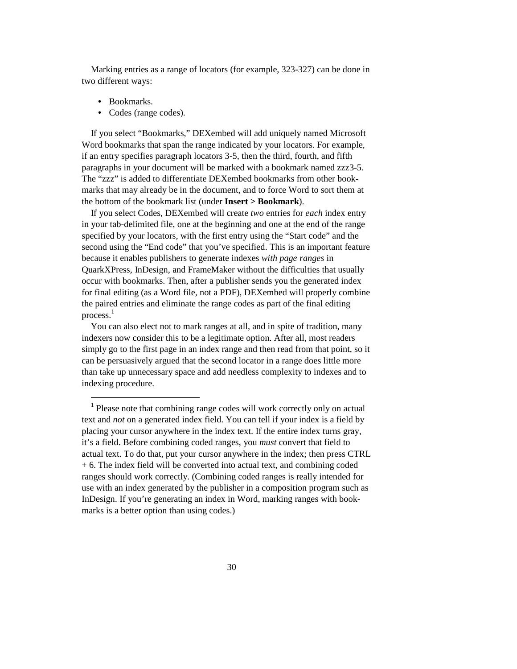Marking entries as a range of locators (for example, 323-327) can be done in two different ways:

**•** Bookmarks.

 $\overline{a}$ 

**•** Codes (range codes).

If you select "Bookmarks," DEXembed will add uniquely named Microsoft Word bookmarks that span the range indicated by your locators. For example, if an entry specifies paragraph locators 3-5, then the third, fourth, and fifth paragraphs in your document will be marked with a bookmark named zzz3-5. The "zzz" is added to differentiate DEXembed bookmarks from other bookmarks that may already be in the document, and to force Word to sort them at the bottom of the bookmark list (under **Insert > Bookmark**).

If you select Codes, DEXembed will create *two* entries for *each* index entry in your tab-delimited file, one at the beginning and one at the end of the range specified by your locators, with the first entry using the "Start code" and the second using the "End code" that you've specified. This is an important feature because it enables publishers to generate indexes *with page ranges* in QuarkXPress, InDesign, and FrameMaker without the difficulties that usually occur with bookmarks. Then, after a publisher sends you the generated index for final editing (as a Word file, not a PDF), DEXembed will properly combine the paired entries and eliminate the range codes as part of the final editing process.<sup>1</sup>

You can also elect not to mark ranges at all, and in spite of tradition, many indexers now consider this to be a legitimate option. After all, most readers simply go to the first page in an index range and then read from that point, so it can be persuasively argued that the second locator in a range does little more than take up unnecessary space and add needless complexity to indexes and to indexing procedure.

<sup>&</sup>lt;sup>1</sup> Please note that combining range codes will work correctly only on actual text and *not* on a generated index field. You can tell if your index is a field by placing your cursor anywhere in the index text. If the entire index turns gray, it's a field. Before combining coded ranges, you *must* convert that field to actual text. To do that, put your cursor anywhere in the index; then press CTRL + 6. The index field will be converted into actual text, and combining coded ranges should work correctly. (Combining coded ranges is really intended for use with an index generated by the publisher in a composition program such as InDesign. If you're generating an index in Word, marking ranges with bookmarks is a better option than using codes.)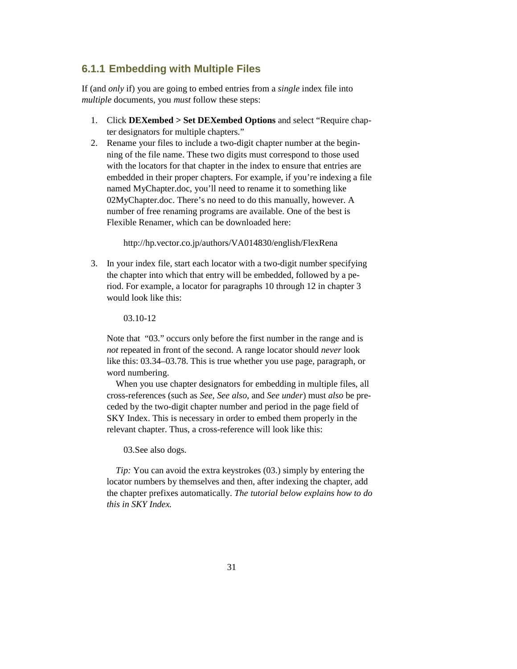### **6.1.1 Embedding with Multiple Files**

If (and *only* if) you are going to embed entries from a *single* index file into *multiple* documents, you *must* follow these steps:

- 1. Click **DEXembed > Set DEXembed Options** and select "Require chapter designators for multiple chapters."
- 2. Rename your files to include a two-digit chapter number at the beginning of the file name. These two digits must correspond to those used with the locators for that chapter in the index to ensure that entries are embedded in their proper chapters. For example, if you're indexing a file named MyChapter.doc, you'll need to rename it to something like 02MyChapter.doc. There's no need to do this manually, however. A number of free renaming programs are available. One of the best is Flexible Renamer, which can be downloaded here:

http://hp.vector.co.jp/authors/VA014830/english/FlexRena

3. In your index file, start each locator with a two-digit number specifying the chapter into which that entry will be embedded, followed by a period. For example, a locator for paragraphs 10 through 12 in chapter 3 would look like this:

03.10-12

 Note that "03." occurs only before the first number in the range and is *not* repeated in front of the second. A range locator should *never* look like this: 03.34–03.78. This is true whether you use page, paragraph, or word numbering.

 When you use chapter designators for embedding in multiple files, all cross-references (such as *See, See also,* and *See under*) must *also* be preceded by the two-digit chapter number and period in the page field of SKY Index. This is necessary in order to embed them properly in the relevant chapter. Thus, a cross-reference will look like this:

03.See also dogs.

*Tip*: You can avoid the extra keystrokes (03.) simply by entering the locator numbers by themselves and then, after indexing the chapter, add the chapter prefixes automatically. *The tutorial below explains how to do this in SKY Index.*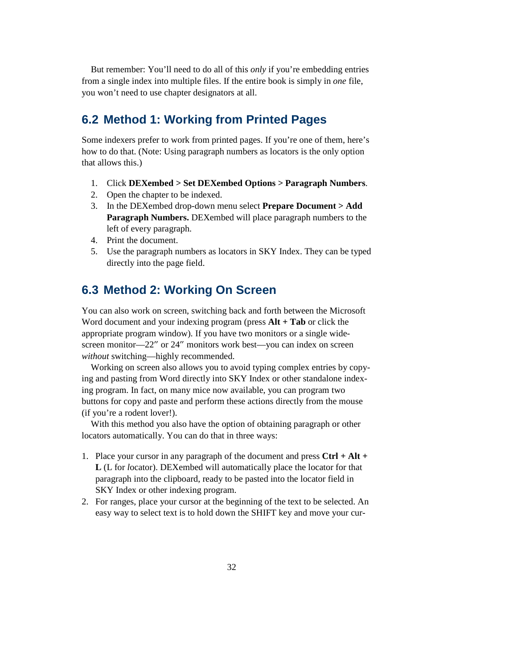But remember: You'll need to do all of this *only* if you're embedding entries from a single index into multiple files. If the entire book is simply in *one* file, you won't need to use chapter designators at all.

## **6.2 Method 1: Working from Printed Pages**

Some indexers prefer to work from printed pages. If you're one of them, here's how to do that. (Note: Using paragraph numbers as locators is the only option that allows this.)

- 1. Click **DEXembed > Set DEXembed Options > Paragraph Numbers**.
- 2. Open the chapter to be indexed.
- 3. In the DEXembed drop-down menu select **Prepare Document > Add Paragraph Numbers.** DEXembed will place paragraph numbers to the left of every paragraph.
- 4. Print the document.
- 5. Use the paragraph numbers as locators in SKY Index. They can be typed directly into the page field.

## **6.3 Method 2: Working On Screen**

You can also work on screen, switching back and forth between the Microsoft Word document and your indexing program (press **Alt + Tab** or click the appropriate program window). If you have two monitors or a single widescreen monitor—22" or 24" monitors work best—you can index on screen *without* switching—highly recommended.

Working on screen also allows you to avoid typing complex entries by copying and pasting from Word directly into SKY Index or other standalone indexing program. In fact, on many mice now available, you can program two buttons for copy and paste and perform these actions directly from the mouse (if you're a rodent lover!).

With this method you also have the option of obtaining paragraph or other locators automatically. You can do that in three ways:

- 1. Place your cursor in any paragraph of the document and press **Ctrl + Alt + L** (L for *l*ocator). DEXembed will automatically place the locator for that paragraph into the clipboard, ready to be pasted into the locator field in SKY Index or other indexing program.
- 2. For ranges, place your cursor at the beginning of the text to be selected. An easy way to select text is to hold down the SHIFT key and move your cur-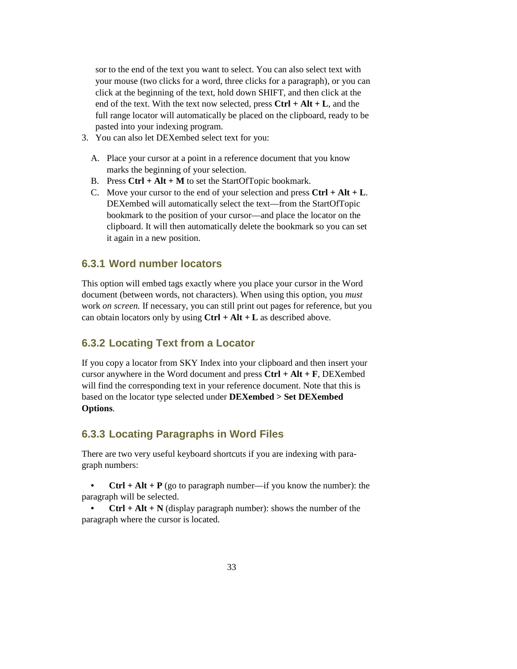sor to the end of the text you want to select. You can also select text with your mouse (two clicks for a word, three clicks for a paragraph), or you can click at the beginning of the text, hold down SHIFT, and then click at the end of the text. With the text now selected, press **Ctrl + Alt + L**, and the full range locator will automatically be placed on the clipboard, ready to be pasted into your indexing program.

- 3. You can also let DEXembed select text for you:
	- A. Place your cursor at a point in a reference document that you know marks the beginning of your selection.
	- B. Press **Ctrl + Alt + M** to set the StartOfTopic bookmark.
	- C. Move your cursor to the end of your selection and press **Ctrl + Alt + L**. DEXembed will automatically select the text—from the StartOfTopic bookmark to the position of your cursor—and place the locator on the clipboard. It will then automatically delete the bookmark so you can set it again in a new position.

#### **6.3.1 Word number locators**

This option will embed tags exactly where you place your cursor in the Word document (between words, not characters). When using this option, you *must* work *on screen.* If necessary, you can still print out pages for reference, but you can obtain locators only by using **Ctrl + Alt + L** as described above.

### **6.3.2 Locating Text from a Locator**

If you copy a locator from SKY Index into your clipboard and then insert your cursor anywhere in the Word document and press **Ctrl + Alt + F**, DEXembed will find the corresponding text in your reference document. Note that this is based on the locator type selected under **DEXembed > Set DEXembed Options**.

#### **6.3.3 Locating Paragraphs in Word Files**

There are two very useful keyboard shortcuts if you are indexing with paragraph numbers:

**Ctrl** + Alt + P (go to paragraph number—if you know the number): the paragraph will be selected.

**Ctrl** + Alt + N (display paragraph number): shows the number of the paragraph where the cursor is located.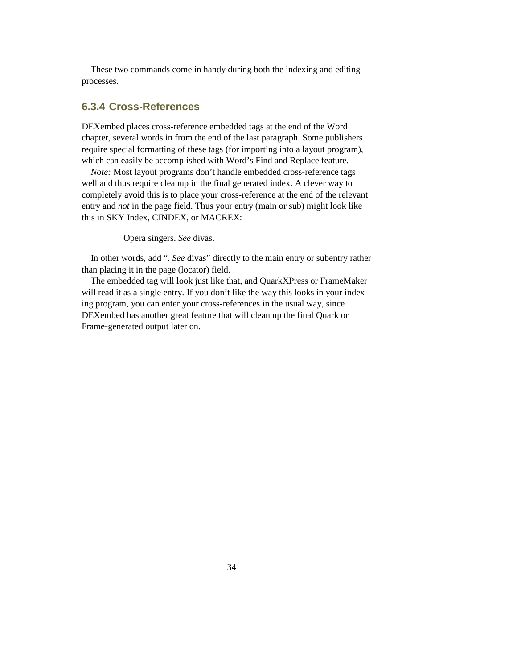These two commands come in handy during both the indexing and editing processes.

#### **6.3.4 Cross-References**

DEXembed places cross-reference embedded tags at the end of the Word chapter, several words in from the end of the last paragraph. Some publishers require special formatting of these tags (for importing into a layout program), which can easily be accomplished with Word's Find and Replace feature.

*Note:* Most layout programs don't handle embedded cross-reference tags well and thus require cleanup in the final generated index. A clever way to completely avoid this is to place your cross-reference at the end of the relevant entry and *not* in the page field. Thus your entry (main or sub) might look like this in SKY Index, CINDEX, or MACREX:

Opera singers. *See* divas.

In other words, add ". *See* divas" directly to the main entry or subentry rather than placing it in the page (locator) field.

The embedded tag will look just like that, and QuarkXPress or FrameMaker will read it as a single entry. If you don't like the way this looks in your indexing program, you can enter your cross-references in the usual way, since DEXembed has another great feature that will clean up the final Quark or Frame-generated output later on.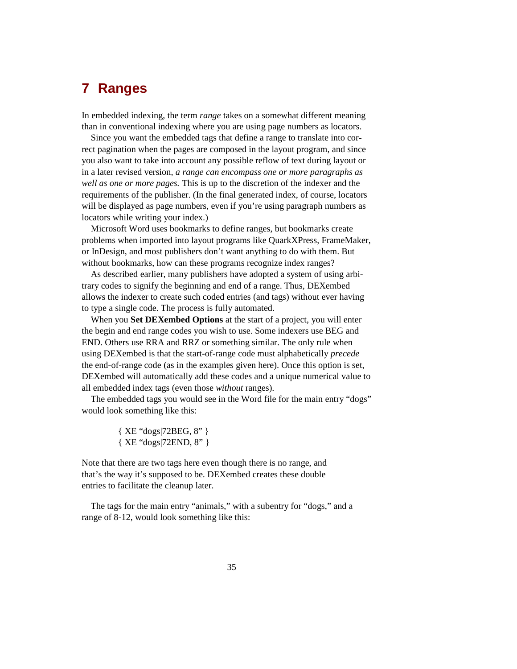## **7 Ranges**

In embedded indexing, the term *range* takes on a somewhat different meaning than in conventional indexing where you are using page numbers as locators.

Since you want the embedded tags that define a range to translate into correct pagination when the pages are composed in the layout program, and since you also want to take into account any possible reflow of text during layout or in a later revised version, *a range can encompass one or more paragraphs as well as one or more pages.* This is up to the discretion of the indexer and the requirements of the publisher. (In the final generated index, of course, locators will be displayed as page numbers, even if you're using paragraph numbers as locators while writing your index.)

Microsoft Word uses bookmarks to define ranges, but bookmarks create problems when imported into layout programs like QuarkXPress, FrameMaker, or InDesign, and most publishers don't want anything to do with them. But without bookmarks, how can these programs recognize index ranges?

As described earlier, many publishers have adopted a system of using arbitrary codes to signify the beginning and end of a range. Thus, DEXembed allows the indexer to create such coded entries (and tags) without ever having to type a single code. The process is fully automated.

When you **Set DEXembed Options** at the start of a project, you will enter the begin and end range codes you wish to use. Some indexers use BEG and END. Others use RRA and RRZ or something similar. The only rule when using DEXembed is that the start-of-range code must alphabetically *precede*  the end-of-range code (as in the examples given here). Once this option is set, DEXembed will automatically add these codes and a unique numerical value to all embedded index tags (even those *without* ranges).

The embedded tags you would see in the Word file for the main entry "dogs" would look something like this:

> { XE "dogs|72BEG, 8" } { XE "dogs|72END, 8" }

Note that there are two tags here even though there is no range, and that's the way it's supposed to be. DEXembed creates these double entries to facilitate the cleanup later.

The tags for the main entry "animals," with a subentry for "dogs," and a range of 8-12, would look something like this: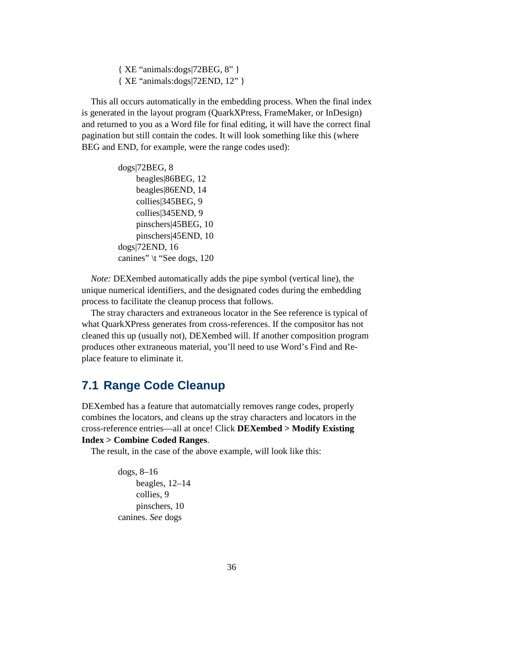{ XE "animals:dogs|72BEG, 8" } { XE "animals:dogs|72END, 12" }

This all occurs automatically in the embedding process. When the final index is generated in the layout program (QuarkXPress, FrameMaker, or InDesign) and returned to you as a Word file for final editing, it will have the correct final pagination but still contain the codes. It will look something like this (where BEG and END, for example, were the range codes used):

> dogs|72BEG, 8 beagles|86BEG, 12 beagles|86END, 14 collies|345BEG, 9 collies|345END, 9 pinschers|45BEG, 10 pinschers|45END, 10 dogs|72END, 16 canines" \t "See dogs, 120

*Note:* DEXembed automatically adds the pipe symbol (vertical line), the unique numerical identifiers, and the designated codes during the embedding process to facilitate the cleanup process that follows.

The stray characters and extraneous locator in the See reference is typical of what QuarkXPress generates from cross-references. If the compositor has not cleaned this up (usually not), DEXembed will. If another composition program produces other extraneous material, you'll need to use Word's Find and Replace feature to eliminate it.

### **7.1 Range Code Cleanup**

DEXembed has a feature that automatcially removes range codes, properly combines the locators, and cleans up the stray characters and locators in the cross-reference entries—all at once! Click **DEXembed > Modify Existing Index > Combine Coded Ranges**.

The result, in the case of the above example, will look like this:

dogs, 8–16 beagles, 12–14 collies, 9 pinschers, 10 canines. *See* dogs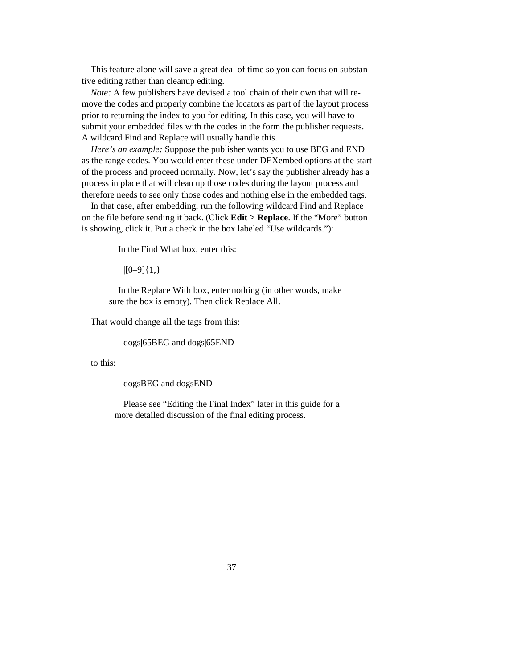This feature alone will save a great deal of time so you can focus on substantive editing rather than cleanup editing.

*Note:* A few publishers have devised a tool chain of their own that will remove the codes and properly combine the locators as part of the layout process prior to returning the index to you for editing. In this case, you will have to submit your embedded files with the codes in the form the publisher requests. A wildcard Find and Replace will usually handle this.

*Here's an example:* Suppose the publisher wants you to use BEG and END as the range codes. You would enter these under DEXembed options at the start of the process and proceed normally. Now, let's say the publisher already has a process in place that will clean up those codes during the layout process and therefore needs to see only those codes and nothing else in the embedded tags.

In that case, after embedding, run the following wildcard Find and Replace on the file before sending it back. (Click **Edit > Replace**. If the "More" button is showing, click it. Put a check in the box labeled "Use wildcards."):

In the Find What box, enter this:

 $|[0-9]\{1,\}$ 

In the Replace With box, enter nothing (in other words, make sure the box is empty). Then click Replace All.

That would change all the tags from this:

dogs|65BEG and dogs|65END

to this:

dogsBEG and dogsEND

Please see "Editing the Final Index" later in this guide for a more detailed discussion of the final editing process.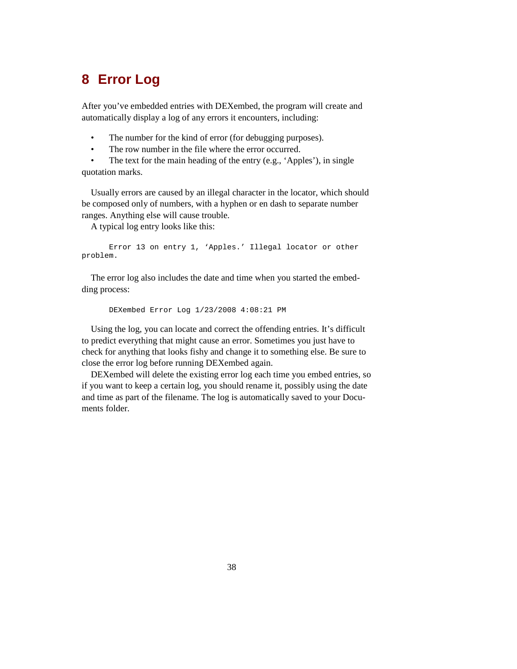## **8 Error Log**

After you've embedded entries with DEXembed, the program will create and automatically display a log of any errors it encounters, including:

- The number for the kind of error (for debugging purposes).
- The row number in the file where the error occurred.

The text for the main heading of the entry (e.g., 'Apples'), in single quotation marks.

Usually errors are caused by an illegal character in the locator, which should be composed only of numbers, with a hyphen or en dash to separate number ranges. Anything else will cause trouble.

A typical log entry looks like this:

 Error 13 on entry 1, 'Apples.' Illegal locator or other problem.

The error log also includes the date and time when you started the embedding process:

DEXembed Error Log 1/23/2008 4:08:21 PM

Using the log, you can locate and correct the offending entries. It's difficult to predict everything that might cause an error. Sometimes you just have to check for anything that looks fishy and change it to something else. Be sure to close the error log before running DEXembed again.

DEXembed will delete the existing error log each time you embed entries, so if you want to keep a certain log, you should rename it, possibly using the date and time as part of the filename. The log is automatically saved to your Documents folder.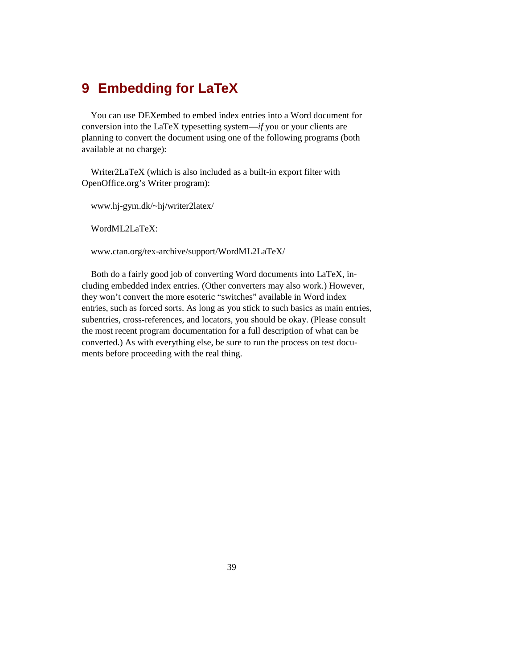## **9 Embedding for LaTeX**

You can use DEXembed to embed index entries into a Word document for conversion into the LaTeX typesetting system—*if* you or your clients are planning to convert the document using one of the following programs (both available at no charge):

Writer2LaTeX (which is also included as a built-in export filter with OpenOffice.org's Writer program):

www.hj-gym.dk/~hj/writer2latex/

WordML2LaTeX:

www.ctan.org/tex-archive/support/WordML2LaTeX/

Both do a fairly good job of converting Word documents into LaTeX, including embedded index entries. (Other converters may also work.) However, they won't convert the more esoteric "switches" available in Word index entries, such as forced sorts. As long as you stick to such basics as main entries, subentries, cross-references, and locators, you should be okay. (Please consult the most recent program documentation for a full description of what can be converted.) As with everything else, be sure to run the process on test documents before proceeding with the real thing.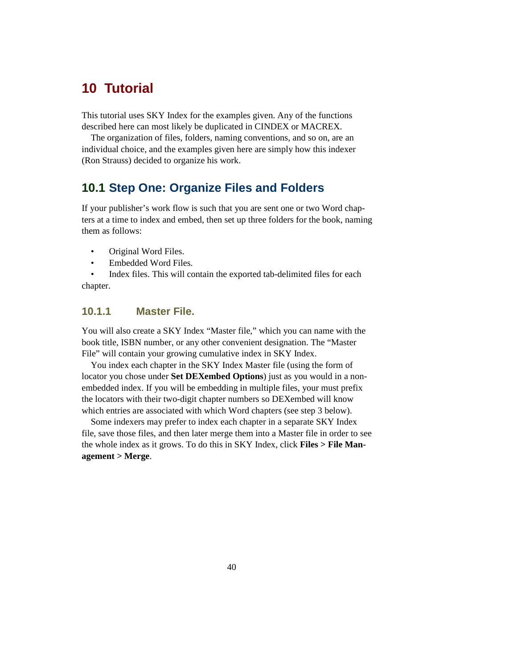## **10 Tutorial**

This tutorial uses SKY Index for the examples given. Any of the functions described here can most likely be duplicated in CINDEX or MACREX.

The organization of files, folders, naming conventions, and so on, are an individual choice, and the examples given here are simply how this indexer (Ron Strauss) decided to organize his work.

## **10.1 Step One: Organize Files and Folders**

If your publisher's work flow is such that you are sent one or two Word chapters at a time to index and embed, then set up three folders for the book, naming them as follows:

- Original Word Files.
- Embedded Word Files.

• Index files. This will contain the exported tab-delimited files for each chapter.

### **10.1.1 Master File.**

You will also create a SKY Index "Master file," which you can name with the book title, ISBN number, or any other convenient designation. The "Master File" will contain your growing cumulative index in SKY Index.

You index each chapter in the SKY Index Master file (using the form of locator you chose under **Set DEXembed Options**) just as you would in a nonembedded index. If you will be embedding in multiple files, your must prefix the locators with their two-digit chapter numbers so DEXembed will know which entries are associated with which Word chapters (see step 3 below).

Some indexers may prefer to index each chapter in a separate SKY Index file, save those files, and then later merge them into a Master file in order to see the whole index as it grows. To do this in SKY Index, click **Files > File Management > Merge**.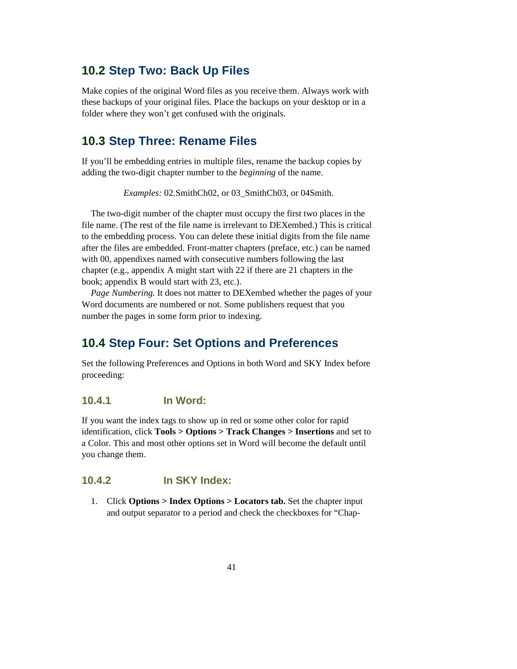## **10.2 Step Two: Back Up Files**

Make copies of the original Word files as you receive them. Always work with these backups of your original files. Place the backups on your desktop or in a folder where they won't get confused with the originals.

## **10.3 Step Three: Rename Files**

If you'll be embedding entries in multiple files, rename the backup copies by adding the two-digit chapter number to the *beginning* of the name.

*Examples:* 02.SmithCh02, or 03\_SmithCh03, or 04Smith.

The two-digit number of the chapter must occupy the first two places in the file name. (The rest of the file name is irrelevant to DEXembed.) This is critical to the embedding process. You can delete these initial digits from the file name after the files are embedded. Front-matter chapters (preface, etc.) can be named with 00, appendixes named with consecutive numbers following the last chapter (e.g., appendix A might start with 22 if there are 21 chapters in the book; appendix B would start with 23, etc.).

*Page Numbering.* It does not matter to DEXembed whether the pages of your Word documents are numbered or not. Some publishers request that you number the pages in some form prior to indexing.

## **10.4 Step Four: Set Options and Preferences**

Set the following Preferences and Options in both Word and SKY Index before proceeding:

#### **10.4.1 In Word:**

If you want the index tags to show up in red or some other color for rapid identification, click **Tools > Options > Track Changes > Insertions** and set to a Color. This and most other options set in Word will become the default until you change them.

#### **10.4.2 In SKY Index:**

1. Click **Options > Index Options > Locators tab.** Set the chapter input and output separator to a period and check the checkboxes for "Chap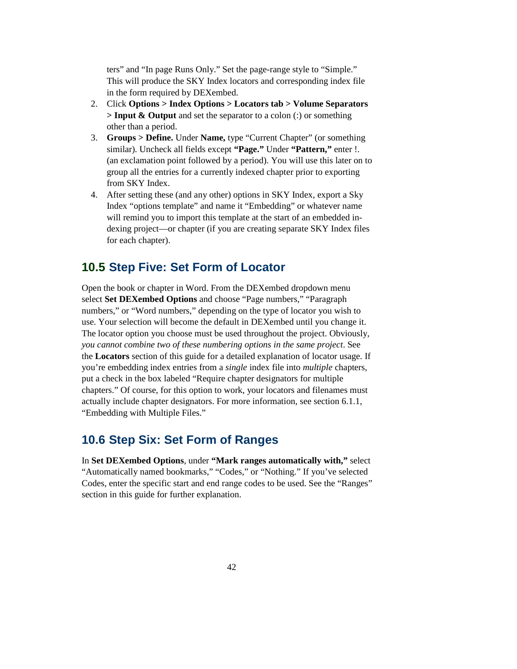ters" and "In page Runs Only." Set the page-range style to "Simple." This will produce the SKY Index locators and corresponding index file in the form required by DEXembed.

- 2. Click **Options > Index Options > Locators tab > Volume Separators > Input & Output** and set the separator to a colon (:) or something other than a period.
- 3. **Groups > Define.** Under **Name,** type "Current Chapter" (or something similar). Uncheck all fields except **"Page."** Under **"Pattern,"** enter !. (an exclamation point followed by a period). You will use this later on to group all the entries for a currently indexed chapter prior to exporting from SKY Index.
- 4. After setting these (and any other) options in SKY Index, export a Sky Index "options template" and name it "Embedding" or whatever name will remind you to import this template at the start of an embedded indexing project—or chapter (if you are creating separate SKY Index files for each chapter).

### **10.5 Step Five: Set Form of Locator**

Open the book or chapter in Word. From the DEXembed dropdown menu select **Set DEXembed Options** and choose "Page numbers," "Paragraph numbers," or "Word numbers," depending on the type of locator you wish to use. Your selection will become the default in DEXembed until you change it. The locator option you choose must be used throughout the project. Obviously, *you cannot combine two of these numbering options in the same project*. See the **Locators** section of this guide for a detailed explanation of locator usage. If you're embedding index entries from a *single* index file into *multiple* chapters, put a check in the box labeled "Require chapter designators for multiple chapters." Of course, for this option to work, your locators and filenames must actually include chapter designators. For more information, see section 6.1.1, "Embedding with Multiple Files."

### **10.6 Step Six: Set Form of Ranges**

In **Set DEXembed Options**, under **"Mark ranges automatically with,"** select "Automatically named bookmarks," "Codes," or "Nothing." If you've selected Codes, enter the specific start and end range codes to be used. See the "Ranges" section in this guide for further explanation.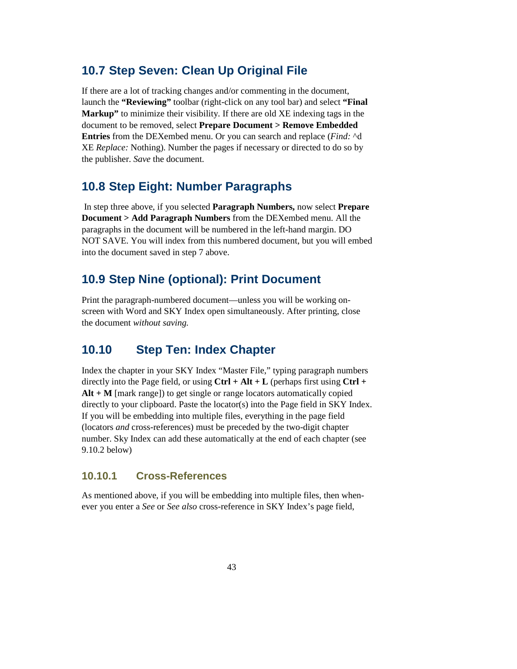## **10.7 Step Seven: Clean Up Original File**

If there are a lot of tracking changes and/or commenting in the document, launch the **"Reviewing"** toolbar (right-click on any tool bar) and select **"Final Markup"** to minimize their visibility. If there are old XE indexing tags in the document to be removed, select **Prepare Document > Remove Embedded Entries** from the DEXembed menu. Or you can search and replace (*Find:* ^d XE *Replace:* Nothing). Number the pages if necessary or directed to do so by the publisher. *Save* the document.

### **10.8 Step Eight: Number Paragraphs**

In step three above, if you selected **Paragraph Numbers,** now select **Prepare Document > Add Paragraph Numbers** from the DEXembed menu. All the paragraphs in the document will be numbered in the left-hand margin. DO NOT SAVE. You will index from this numbered document, but you will embed into the document saved in step 7 above.

## **10.9 Step Nine (optional): Print Document**

Print the paragraph-numbered document—unless you will be working onscreen with Word and SKY Index open simultaneously. After printing, close the document *without saving.*

### **10.10 Step Ten: Index Chapter**

Index the chapter in your SKY Index "Master File," typing paragraph numbers directly into the Page field, or using  $Ctrl + Alt + L$  (perhaps first using  $Ctrl +$ **Alt + M** [mark range]) to get single or range locators automatically copied directly to your clipboard. Paste the locator(s) into the Page field in SKY Index. If you will be embedding into multiple files, everything in the page field (locators *and* cross-references) must be preceded by the two-digit chapter number. Sky Index can add these automatically at the end of each chapter (see 9.10.2 below)

### **10.10.1 Cross-References**

As mentioned above, if you will be embedding into multiple files, then whenever you enter a *See* or *See also* cross-reference in SKY Index's page field,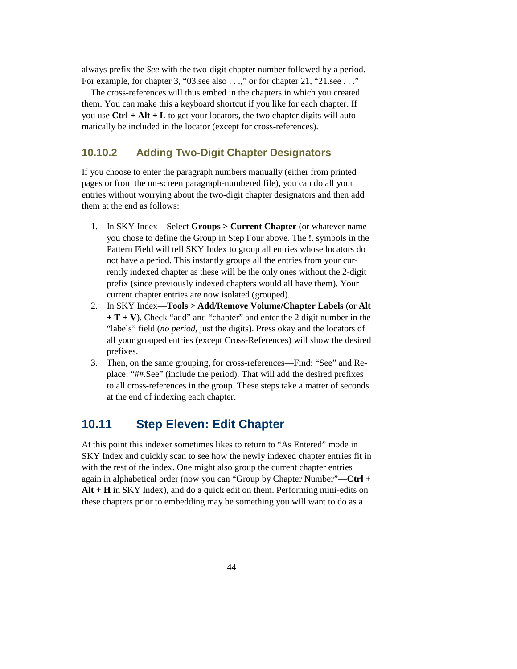always prefix the *See* with the two-digit chapter number followed by a period. For example, for chapter 3, "03.see also . . .," or for chapter 21, "21.see . . ."

The cross-references will thus embed in the chapters in which you created them. You can make this a keyboard shortcut if you like for each chapter. If you use **Ctrl + Alt + L** to get your locators, the two chapter digits will automatically be included in the locator (except for cross-references).

#### **10.10.2 Adding Two-Digit Chapter Designators**

If you choose to enter the paragraph numbers manually (either from printed pages or from the on-screen paragraph-numbered file), you can do all your entries without worrying about the two-digit chapter designators and then add them at the end as follows:

- 1. In SKY Index—Select **Groups > Current Chapter** (or whatever name you chose to define the Group in Step Four above. The **!.** symbols in the Pattern Field will tell SKY Index to group all entries whose locators do not have a period. This instantly groups all the entries from your currently indexed chapter as these will be the only ones without the 2-digit prefix (since previously indexed chapters would all have them). Your current chapter entries are now isolated (grouped).
- 2. In SKY Index—**Tools > Add/Remove Volume/Chapter Labels** (or **Alt + T + V**). Check "add" and "chapter" and enter the 2 digit number in the "labels" field (*no period,* just the digits). Press okay and the locators of all your grouped entries (except Cross-References) will show the desired prefixes.
- 3. Then, on the same grouping, for cross-references—Find: "See" and Replace: "##.See" (include the period). That will add the desired prefixes to all cross-references in the group. These steps take a matter of seconds at the end of indexing each chapter.

## **10.11 Step Eleven: Edit Chapter**

At this point this indexer sometimes likes to return to "As Entered" mode in SKY Index and quickly scan to see how the newly indexed chapter entries fit in with the rest of the index. One might also group the current chapter entries again in alphabetical order (now you can "Group by Chapter Number"—**Ctrl + Alt + H** in SKY Index), and do a quick edit on them. Performing mini-edits on these chapters prior to embedding may be something you will want to do as a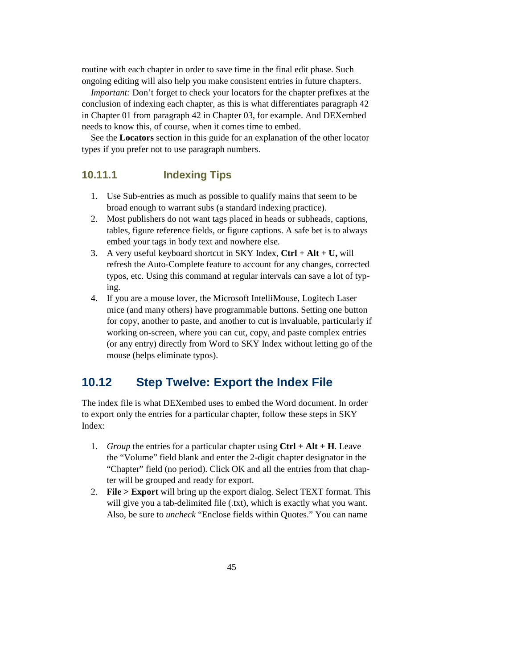routine with each chapter in order to save time in the final edit phase. Such ongoing editing will also help you make consistent entries in future chapters.

*Important:* Don't forget to check your locators for the chapter prefixes at the conclusion of indexing each chapter, as this is what differentiates paragraph 42 in Chapter 01 from paragraph 42 in Chapter 03, for example. And DEXembed needs to know this, of course, when it comes time to embed.

See the **Locators** section in this guide for an explanation of the other locator types if you prefer not to use paragraph numbers.

#### **10.11.1 Indexing Tips**

- 1. Use Sub-entries as much as possible to qualify mains that seem to be broad enough to warrant subs (a standard indexing practice).
- 2. Most publishers do not want tags placed in heads or subheads, captions, tables, figure reference fields, or figure captions. A safe bet is to always embed your tags in body text and nowhere else.
- 3. A very useful keyboard shortcut in SKY Index, **Ctrl + Alt + U,** will refresh the Auto-Complete feature to account for any changes, corrected typos, etc. Using this command at regular intervals can save a lot of typing.
- 4. If you are a mouse lover, the Microsoft IntelliMouse, Logitech Laser mice (and many others) have programmable buttons. Setting one button for copy, another to paste, and another to cut is invaluable, particularly if working on-screen, where you can cut, copy, and paste complex entries (or any entry) directly from Word to SKY Index without letting go of the mouse (helps eliminate typos).

### **10.12 Step Twelve: Export the Index File**

The index file is what DEXembed uses to embed the Word document. In order to export only the entries for a particular chapter, follow these steps in SKY Index:

- 1. *Group* the entries for a particular chapter using **Ctrl + Alt + H**. Leave the "Volume" field blank and enter the 2-digit chapter designator in the "Chapter" field (no period). Click OK and all the entries from that chapter will be grouped and ready for export.
- 2. **File > Export** will bring up the export dialog. Select TEXT format. This will give you a tab-delimited file (.txt), which is exactly what you want. Also, be sure to *uncheck* "Enclose fields within Quotes." You can name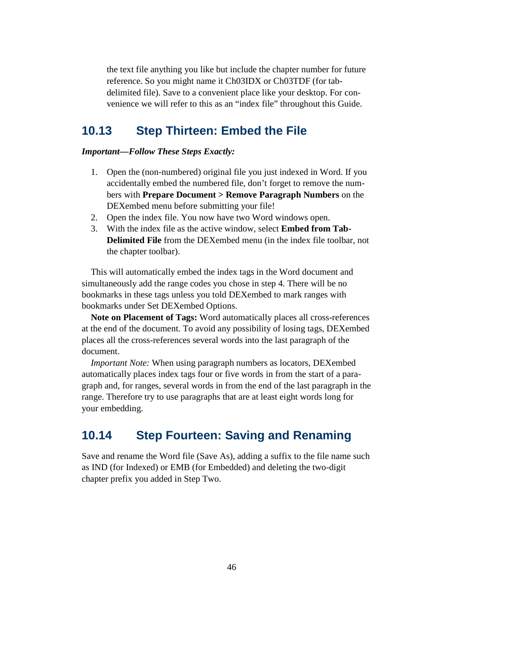the text file anything you like but include the chapter number for future reference. So you might name it Ch03IDX or Ch03TDF (for tabdelimited file). Save to a convenient place like your desktop. For convenience we will refer to this as an "index file" throughout this Guide.

## **10.13 Step Thirteen: Embed the File**

#### *Important—Follow These Steps Exactly:*

- 1. Open the (non-numbered) original file you just indexed in Word. If you accidentally embed the numbered file, don't forget to remove the numbers with **Prepare Document > Remove Paragraph Numbers** on the DEXembed menu before submitting your file!
- 2. Open the index file. You now have two Word windows open.
- 3. With the index file as the active window, select **Embed from Tab-Delimited File** from the DEXembed menu (in the index file toolbar, not the chapter toolbar).

This will automatically embed the index tags in the Word document and simultaneously add the range codes you chose in step 4. There will be no bookmarks in these tags unless you told DEXembed to mark ranges with bookmarks under Set DEXembed Options.

**Note on Placement of Tags:** Word automatically places all cross-references at the end of the document. To avoid any possibility of losing tags, DEXembed places all the cross-references several words into the last paragraph of the document.

*Important Note:* When using paragraph numbers as locators, DEXembed automatically places index tags four or five words in from the start of a paragraph and, for ranges, several words in from the end of the last paragraph in the range. Therefore try to use paragraphs that are at least eight words long for your embedding.

## **10.14 Step Fourteen: Saving and Renaming**

Save and rename the Word file (Save As), adding a suffix to the file name such as IND (for Indexed) or EMB (for Embedded) and deleting the two-digit chapter prefix you added in Step Two.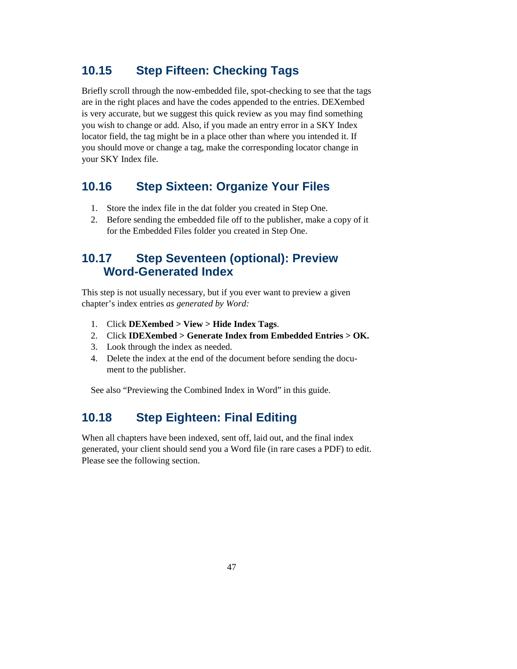## **10.15 Step Fifteen: Checking Tags**

Briefly scroll through the now-embedded file, spot-checking to see that the tags are in the right places and have the codes appended to the entries. DEXembed is very accurate, but we suggest this quick review as you may find something you wish to change or add. Also, if you made an entry error in a SKY Index locator field, the tag might be in a place other than where you intended it. If you should move or change a tag, make the corresponding locator change in your SKY Index file.

## **10.16 Step Sixteen: Organize Your Files**

- 1. Store the index file in the dat folder you created in Step One.
- 2. Before sending the embedded file off to the publisher, make a copy of it for the Embedded Files folder you created in Step One.

## **10.17 Step Seventeen (optional): Preview Word-Generated Index**

This step is not usually necessary, but if you ever want to preview a given chapter's index entries *as generated by Word:* 

- 1. Click **DEXembed > View > Hide Index Tags**.
- 2. Click **IDEXembed > Generate Index from Embedded Entries > OK.**
- 3. Look through the index as needed.
- 4. Delete the index at the end of the document before sending the document to the publisher.

See also "Previewing the Combined Index in Word" in this guide.

## **10.18 Step Eighteen: Final Editing**

When all chapters have been indexed, sent off, laid out, and the final index generated, your client should send you a Word file (in rare cases a PDF) to edit. Please see the following section.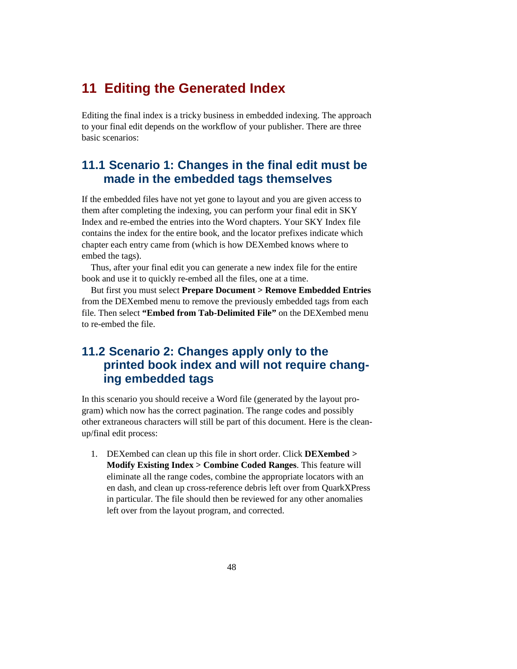## **11 Editing the Generated Index**

Editing the final index is a tricky business in embedded indexing. The approach to your final edit depends on the workflow of your publisher. There are three basic scenarios:

### **11.1 Scenario 1: Changes in the final edit must be made in the embedded tags themselves**

If the embedded files have not yet gone to layout and you are given access to them after completing the indexing, you can perform your final edit in SKY Index and re-embed the entries into the Word chapters. Your SKY Index file contains the index for the entire book, and the locator prefixes indicate which chapter each entry came from (which is how DEXembed knows where to embed the tags).

Thus, after your final edit you can generate a new index file for the entire book and use it to quickly re-embed all the files, one at a time.

But first you must select **Prepare Document > Remove Embedded Entries** from the DEXembed menu to remove the previously embedded tags from each file. Then select **"Embed from Tab-Delimited File"** on the DEXembed menu to re-embed the file.

## **11.2 Scenario 2: Changes apply only to the printed book index and will not require changing embedded tags**

In this scenario you should receive a Word file (generated by the layout program) which now has the correct pagination. The range codes and possibly other extraneous characters will still be part of this document. Here is the cleanup/final edit process:

1. DEXembed can clean up this file in short order. Click **DEXembed > Modify Existing Index > Combine Coded Ranges**. This feature will eliminate all the range codes, combine the appropriate locators with an en dash, and clean up cross-reference debris left over from QuarkXPress in particular. The file should then be reviewed for any other anomalies left over from the layout program, and corrected.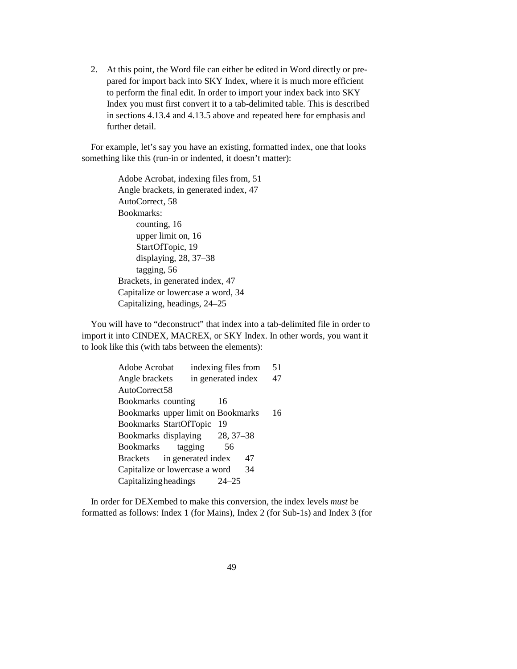2. At this point, the Word file can either be edited in Word directly or prepared for import back into SKY Index, where it is much more efficient to perform the final edit. In order to import your index back into SKY Index you must first convert it to a tab-delimited table. This is described in sections 4.13.4 and 4.13.5 above and repeated here for emphasis and further detail.

For example, let's say you have an existing, formatted index, one that looks something like this (run-in or indented, it doesn't matter):

> Adobe Acrobat, indexing files from, 51 Angle brackets, in generated index, 47 AutoCorrect, 58 Bookmarks: counting, 16 upper limit on, 16 StartOfTopic, 19 displaying, 28, 37–38 tagging, 56 Brackets, in generated index, 47 Capitalize or lowercase a word, 34 Capitalizing, headings, 24–25

You will have to "deconstruct" that index into a tab-delimited file in order to import it into CINDEX, MACREX, or SKY Index. In other words, you want it to look like this (with tabs between the elements):

| Adobe Acrobat                      | indexing files from | 51 |
|------------------------------------|---------------------|----|
| Angle brackets                     | in generated index  | 47 |
| AutoCorrect58                      |                     |    |
| Bookmarks counting                 | 16                  |    |
| Bookmarks upper limit on Bookmarks |                     | 16 |
| Bookmarks StartOfTopic             | 19                  |    |
| Bookmarks displaying               | 28, 37–38           |    |
| Bookmarks<br>tagging               | 56                  |    |
| Brackets in generated index        | 47                  |    |
| Capitalize or lowercase a word     | 34                  |    |
| <b>Capitalizing headings</b>       | $24 - 25$           |    |

In order for DEXembed to make this conversion, the index levels *must* be formatted as follows: Index 1 (for Mains), Index 2 (for Sub-1s) and Index 3 (for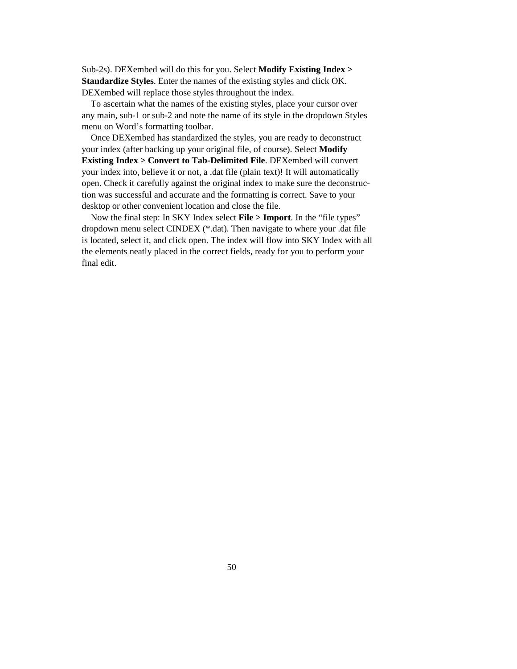Sub-2s). DEXembed will do this for you. Select **Modify Existing Index > Standardize Styles**. Enter the names of the existing styles and click OK. DEXembed will replace those styles throughout the index.

To ascertain what the names of the existing styles, place your cursor over any main, sub-1 or sub-2 and note the name of its style in the dropdown Styles menu on Word's formatting toolbar.

Once DEXembed has standardized the styles, you are ready to deconstruct your index (after backing up your original file, of course). Select **Modify Existing Index > Convert to Tab-Delimited File**. DEXembed will convert your index into, believe it or not, a .dat file (plain text)! It will automatically open. Check it carefully against the original index to make sure the deconstruction was successful and accurate and the formatting is correct. Save to your desktop or other convenient location and close the file.

Now the final step: In SKY Index select **File > Import**. In the "file types" dropdown menu select CINDEX (\*.dat). Then navigate to where your .dat file is located, select it, and click open. The index will flow into SKY Index with all the elements neatly placed in the correct fields, ready for you to perform your final edit.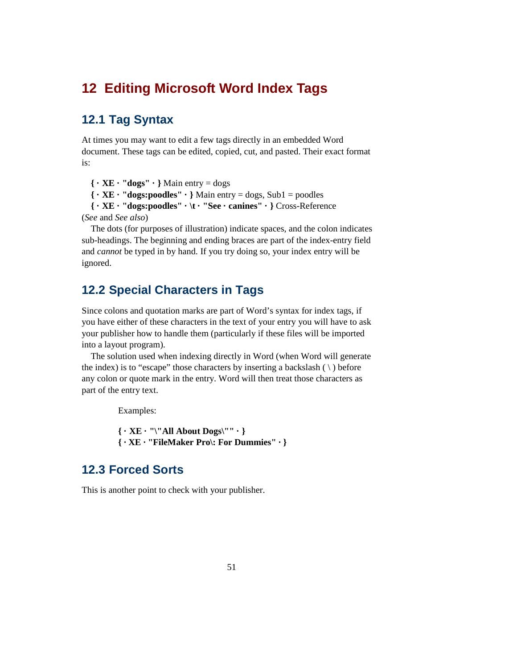## **12 Editing Microsoft Word Index Tags**

## **12.1 Tag Syntax**

At times you may want to edit a few tags directly in an embedded Word document. These tags can be edited, copied, cut, and pasted. Their exact format is:

**{ · XE · "dogs" · }** Main entry = dogs

**{ · XE · "dogs:poodles" · }** Main entry = dogs, Sub1 = poodles

**{ · XE · "dogs:poodles" · \t · "See · canines" · }** Cross-Reference (*See* and *See also*)

The dots (for purposes of illustration) indicate spaces, and the colon indicates sub-headings. The beginning and ending braces are part of the index-entry field and *cannot* be typed in by hand. If you try doing so, your index entry will be ignored.

## **12.2 Special Characters in Tags**

Since colons and quotation marks are part of Word's syntax for index tags, if you have either of these characters in the text of your entry you will have to ask your publisher how to handle them (particularly if these files will be imported into a layout program).

The solution used when indexing directly in Word (when Word will generate the index) is to "escape" those characters by inserting a backslash  $( \ )$  before any colon or quote mark in the entry. Word will then treat those characters as part of the entry text.

Examples:

**{ · XE · "\"All About Dogs\"" · } { · XE · "FileMaker Pro\: For Dummies" · }** 

## **12.3 Forced Sorts**

This is another point to check with your publisher.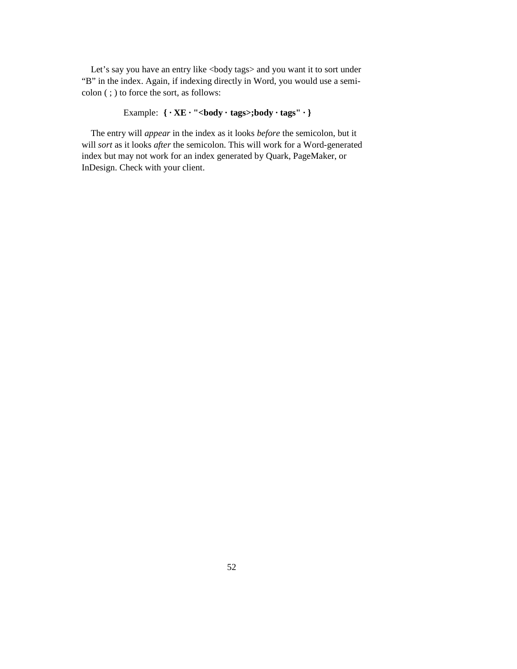Let's say you have an entry like <br/>body tags> and you want it to sort under "B" in the index. Again, if indexing directly in Word, you would use a semicolon ( ; ) to force the sort, as follows:

## Example:  $\{\cdot \text{XE} \cdot \text{"$

The entry will *appear* in the index as it looks *before* the semicolon, but it will *sort* as it looks *after* the semicolon. This will work for a Word-generated index but may not work for an index generated by Quark, PageMaker, or InDesign. Check with your client.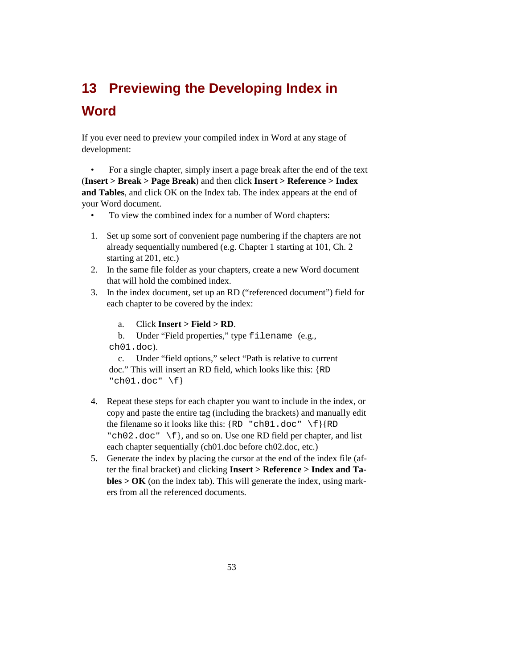# **13 Previewing the Developing Index in Word**

If you ever need to preview your compiled index in Word at any stage of development:

• For a single chapter, simply insert a page break after the end of the text (**Insert > Break > Page Break**) and then click **Insert > Reference > Index and Tables**, and click OK on the Index tab. The index appears at the end of your Word document.

- To view the combined index for a number of Word chapters:
- 1. Set up some sort of convenient page numbering if the chapters are not already sequentially numbered (e.g. Chapter 1 starting at 101, Ch. 2 starting at 201, etc.)
- 2. In the same file folder as your chapters, create a new Word document that will hold the combined index.
- 3. In the index document, set up an RD ("referenced document") field for each chapter to be covered by the index:
	- a. Click **Insert > Field > RD**.
	- b. Under "Field properties," type filename (e.g.,
	- ch01.doc).

c. Under "field options," select "Path is relative to current doc." This will insert an RD field, which looks like this: {RD **"**ch01.doc**"** \f}

- 4. Repeat these steps for each chapter you want to include in the index, or copy and paste the entire tag (including the brackets) and manually edit the filename so it looks like this: {RD **"**ch01.doc**"** \f}{RD **"**ch02.doc**"** \f}, and so on. Use one RD field per chapter, and list each chapter sequentially (ch01.doc before ch02.doc, etc.)
- 5. Generate the index by placing the cursor at the end of the index file (after the final bracket) and clicking **Insert > Reference > Index and Tables > OK** (on the index tab). This will generate the index, using markers from all the referenced documents.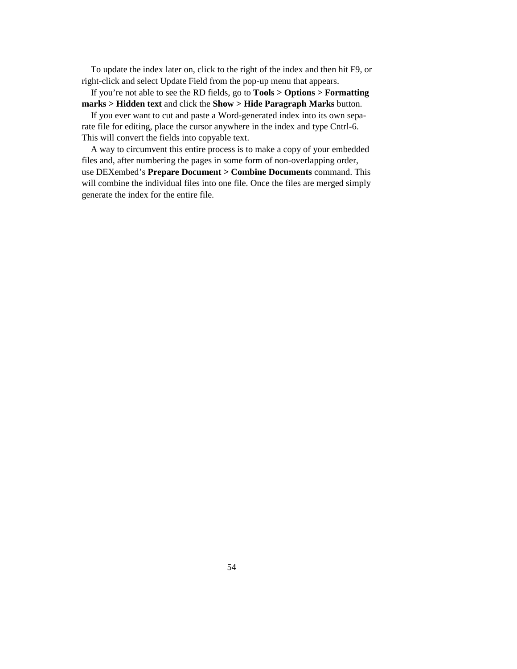To update the index later on, click to the right of the index and then hit F9, or right-click and select Update Field from the pop-up menu that appears.

If you're not able to see the RD fields, go to **Tools > Options > Formatting marks > Hidden text** and click the **Show > Hide Paragraph Marks** button.

If you ever want to cut and paste a Word-generated index into its own separate file for editing, place the cursor anywhere in the index and type Cntrl-6. This will convert the fields into copyable text.

A way to circumvent this entire process is to make a copy of your embedded files and, after numbering the pages in some form of non-overlapping order, use DEXembed's **Prepare Document > Combine Documents** command. This will combine the individual files into one file. Once the files are merged simply generate the index for the entire file.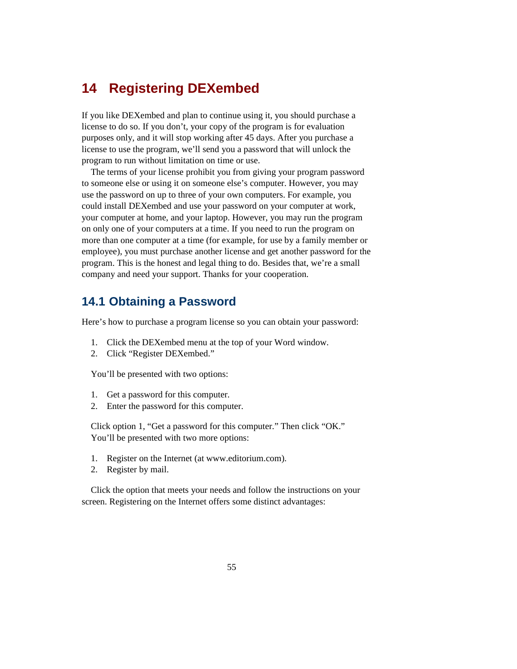## **14 Registering DEXembed**

If you like DEXembed and plan to continue using it, you should purchase a license to do so. If you don't, your copy of the program is for evaluation purposes only, and it will stop working after 45 days. After you purchase a license to use the program, we'll send you a password that will unlock the program to run without limitation on time or use.

The terms of your license prohibit you from giving your program password to someone else or using it on someone else's computer. However, you may use the password on up to three of your own computers. For example, you could install DEXembed and use your password on your computer at work, your computer at home, and your laptop. However, you may run the program on only one of your computers at a time. If you need to run the program on more than one computer at a time (for example, for use by a family member or employee), you must purchase another license and get another password for the program. This is the honest and legal thing to do. Besides that, we're a small company and need your support. Thanks for your cooperation.

## **14.1 Obtaining a Password**

Here's how to purchase a program license so you can obtain your password:

- 1. Click the DEXembed menu at the top of your Word window.
- 2. Click "Register DEXembed."

You'll be presented with two options:

- 1. Get a password for this computer.
- 2. Enter the password for this computer.

Click option 1, "Get a password for this computer." Then click "OK." You'll be presented with two more options:

- 1. Register on the Internet (at www.editorium.com).
- 2. Register by mail.

Click the option that meets your needs and follow the instructions on your screen. Registering on the Internet offers some distinct advantages: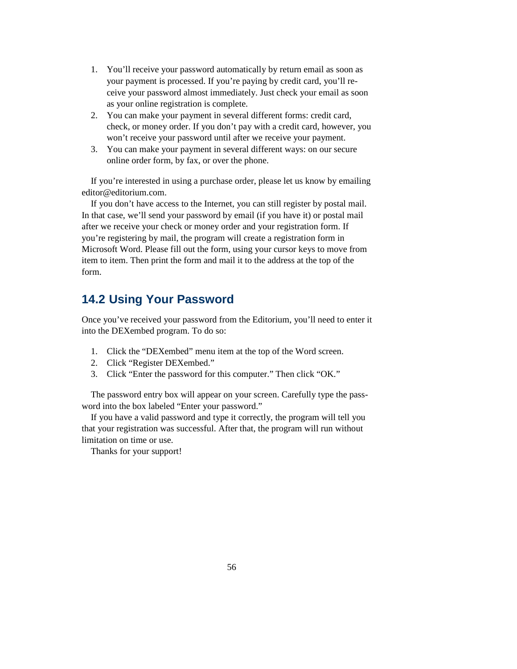- 1. You'll receive your password automatically by return email as soon as your payment is processed. If you're paying by credit card, you'll receive your password almost immediately. Just check your email as soon as your online registration is complete.
- 2. You can make your payment in several different forms: credit card, check, or money order. If you don't pay with a credit card, however, you won't receive your password until after we receive your payment.
- 3. You can make your payment in several different ways: on our secure online order form, by fax, or over the phone.

If you're interested in using a purchase order, please let us know by emailing editor@editorium.com.

If you don't have access to the Internet, you can still register by postal mail. In that case, we'll send your password by email (if you have it) or postal mail after we receive your check or money order and your registration form. If you're registering by mail, the program will create a registration form in Microsoft Word. Please fill out the form, using your cursor keys to move from item to item. Then print the form and mail it to the address at the top of the form.

## **14.2 Using Your Password**

Once you've received your password from the Editorium, you'll need to enter it into the DEXembed program. To do so:

- 1. Click the "DEXembed" menu item at the top of the Word screen.
- 2. Click "Register DEXembed."
- 3. Click "Enter the password for this computer." Then click "OK."

The password entry box will appear on your screen. Carefully type the password into the box labeled "Enter your password."

If you have a valid password and type it correctly, the program will tell you that your registration was successful. After that, the program will run without limitation on time or use.

Thanks for your support!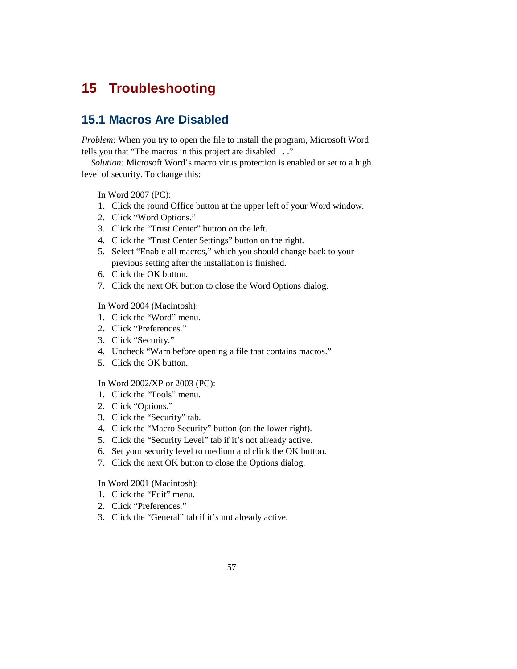## **15 Troubleshooting**

## **15.1 Macros Are Disabled**

*Problem:* When you try to open the file to install the program, Microsoft Word tells you that "The macros in this project are disabled . . ."

*Solution:* Microsoft Word's macro virus protection is enabled or set to a high level of security. To change this:

In Word 2007 (PC):

- 1. Click the round Office button at the upper left of your Word window.
- 2. Click "Word Options."
- 3. Click the "Trust Center" button on the left.
- 4. Click the "Trust Center Settings" button on the right.
- 5. Select "Enable all macros," which you should change back to your previous setting after the installation is finished.
- 6. Click the OK button.
- 7. Click the next OK button to close the Word Options dialog.

In Word 2004 (Macintosh):

- 1. Click the "Word" menu.
- 2. Click "Preferences."
- 3. Click "Security."
- 4. Uncheck "Warn before opening a file that contains macros."
- 5. Click the OK button.

#### In Word 2002/XP or 2003 (PC):

- 1. Click the "Tools" menu.
- 2. Click "Options."
- 3. Click the "Security" tab.
- 4. Click the "Macro Security" button (on the lower right).
- 5. Click the "Security Level" tab if it's not already active.
- 6. Set your security level to medium and click the OK button.
- 7. Click the next OK button to close the Options dialog.

In Word 2001 (Macintosh):

- 1. Click the "Edit" menu.
- 2. Click "Preferences."
- 3. Click the "General" tab if it's not already active.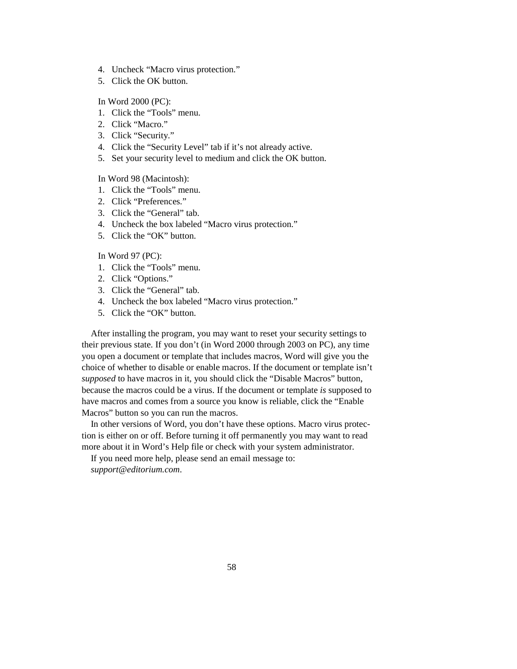- 4. Uncheck "Macro virus protection."
- 5. Click the OK button.

In Word 2000 (PC):

- 1. Click the "Tools" menu.
- 2. Click "Macro."
- 3. Click "Security."
- 4. Click the "Security Level" tab if it's not already active.
- 5. Set your security level to medium and click the OK button.

In Word 98 (Macintosh):

- 1. Click the "Tools" menu.
- 2. Click "Preferences."
- 3. Click the "General" tab.
- 4. Uncheck the box labeled "Macro virus protection."
- 5. Click the "OK" button.

In Word 97 (PC):

- 1. Click the "Tools" menu.
- 2. Click "Options."
- 3. Click the "General" tab.
- 4. Uncheck the box labeled "Macro virus protection."
- 5. Click the "OK" button.

After installing the program, you may want to reset your security settings to their previous state. If you don't (in Word 2000 through 2003 on PC), any time you open a document or template that includes macros, Word will give you the choice of whether to disable or enable macros. If the document or template isn't *supposed* to have macros in it, you should click the "Disable Macros" button, because the macros could be a virus. If the document or template *is* supposed to have macros and comes from a source you know is reliable, click the "Enable Macros" button so you can run the macros.

In other versions of Word, you don't have these options. Macro virus protection is either on or off. Before turning it off permanently you may want to read more about it in Word's Help file or check with your system administrator.

If you need more help, please send an email message to: *support@editorium.com*.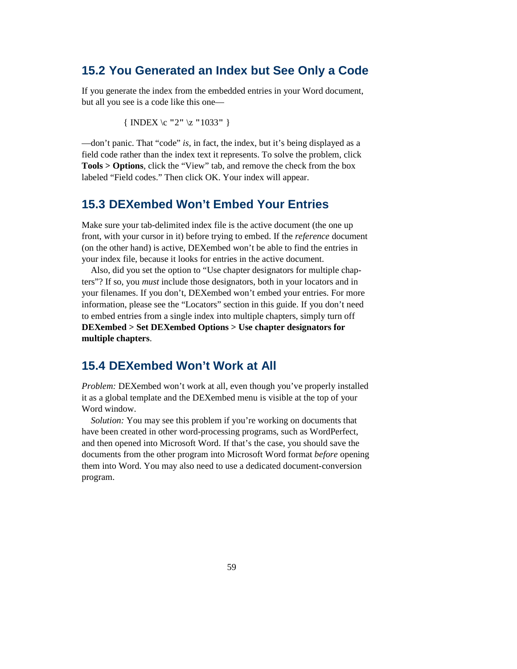## **15.2 You Generated an Index but See Only a Code**

If you generate the index from the embedded entries in your Word document, but all you see is a code like this one—

{ INDEX \c **"**2**"** \z **"**1033**"** }

—don't panic. That "code" *is,* in fact, the index, but it's being displayed as a field code rather than the index text it represents. To solve the problem, click **Tools > Options**, click the "View" tab, and remove the check from the box labeled "Field codes." Then click OK. Your index will appear.

### **15.3 DEXembed Won't Embed Your Entries**

Make sure your tab-delimited index file is the active document (the one up front, with your cursor in it) before trying to embed. If the *reference* document (on the other hand) is active, DEXembed won't be able to find the entries in your index file, because it looks for entries in the active document.

Also, did you set the option to "Use chapter designators for multiple chapters"? If so, you *must* include those designators, both in your locators and in your filenames. If you don't, DEXembed won't embed your entries. For more information, please see the "Locators" section in this guide. If you don't need to embed entries from a single index into multiple chapters, simply turn off **DEXembed > Set DEXembed Options > Use chapter designators for multiple chapters**.

### **15.4 DEXembed Won't Work at All**

*Problem: DEXembed won't work at all, even though you've properly installed* it as a global template and the DEXembed menu is visible at the top of your Word window

*Solution:* You may see this problem if you're working on documents that have been created in other word-processing programs, such as WordPerfect, and then opened into Microsoft Word. If that's the case, you should save the documents from the other program into Microsoft Word format *before* opening them into Word. You may also need to use a dedicated document-conversion program.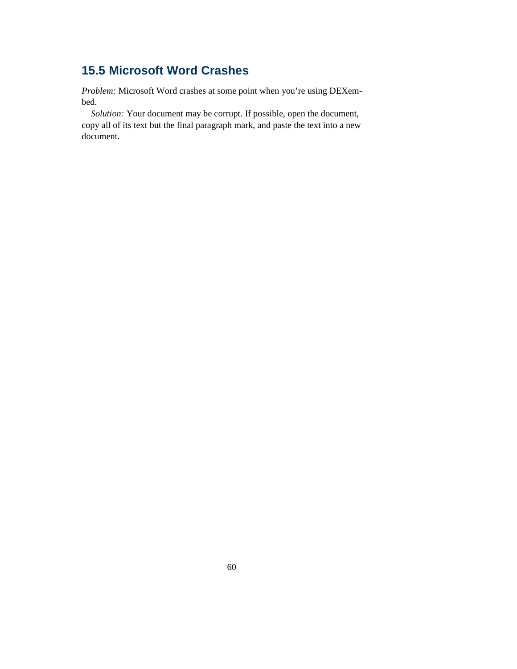## **15.5 Microsoft Word Crashes**

*Problem:* Microsoft Word crashes at some point when you're using DEXembed.

*Solution:* Your document may be corrupt. If possible, open the document, copy all of its text but the final paragraph mark, and paste the text into a new document.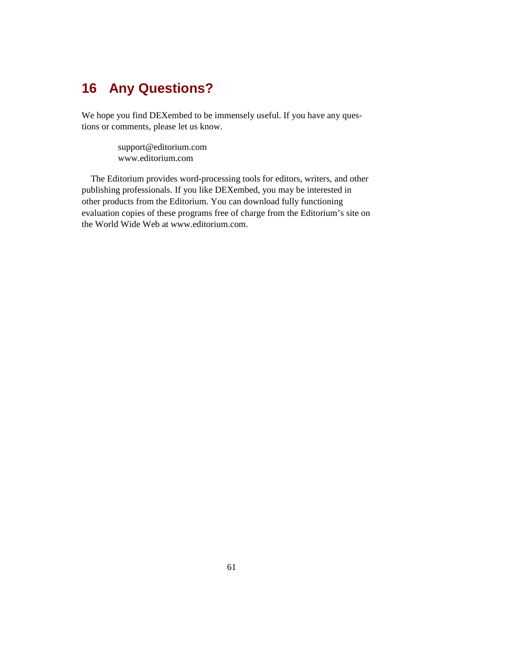## **16 Any Questions?**

We hope you find DEXembed to be immensely useful. If you have any questions or comments, please let us know.

> support@editorium.com www.editorium.com

The Editorium provides word-processing tools for editors, writers, and other publishing professionals. If you like DEXembed, you may be interested in other products from the Editorium. You can download fully functioning evaluation copies of these programs free of charge from the Editorium's site on the World Wide Web at www.editorium.com.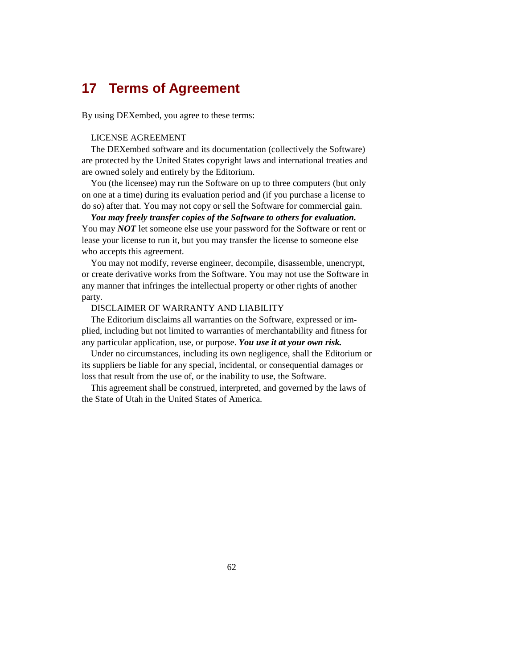## **17 Terms of Agreement**

By using DEXembed, you agree to these terms:

#### LICENSE AGREEMENT

The DEXembed software and its documentation (collectively the Software) are protected by the United States copyright laws and international treaties and are owned solely and entirely by the Editorium.

You (the licensee) may run the Software on up to three computers (but only on one at a time) during its evaluation period and (if you purchase a license to do so) after that. You may not copy or sell the Software for commercial gain.

*You may freely transfer copies of the Software to others for evaluation.*  You may *NOT* let someone else use your password for the Software or rent or lease your license to run it, but you may transfer the license to someone else who accepts this agreement.

You may not modify, reverse engineer, decompile, disassemble, unencrypt, or create derivative works from the Software. You may not use the Software in any manner that infringes the intellectual property or other rights of another party.

#### DISCLAIMER OF WARRANTY AND LIABILITY

The Editorium disclaims all warranties on the Software, expressed or implied, including but not limited to warranties of merchantability and fitness for any particular application, use, or purpose. *You use it at your own risk.*

Under no circumstances, including its own negligence, shall the Editorium or its suppliers be liable for any special, incidental, or consequential damages or loss that result from the use of, or the inability to use, the Software.

This agreement shall be construed, interpreted, and governed by the laws of the State of Utah in the United States of America.